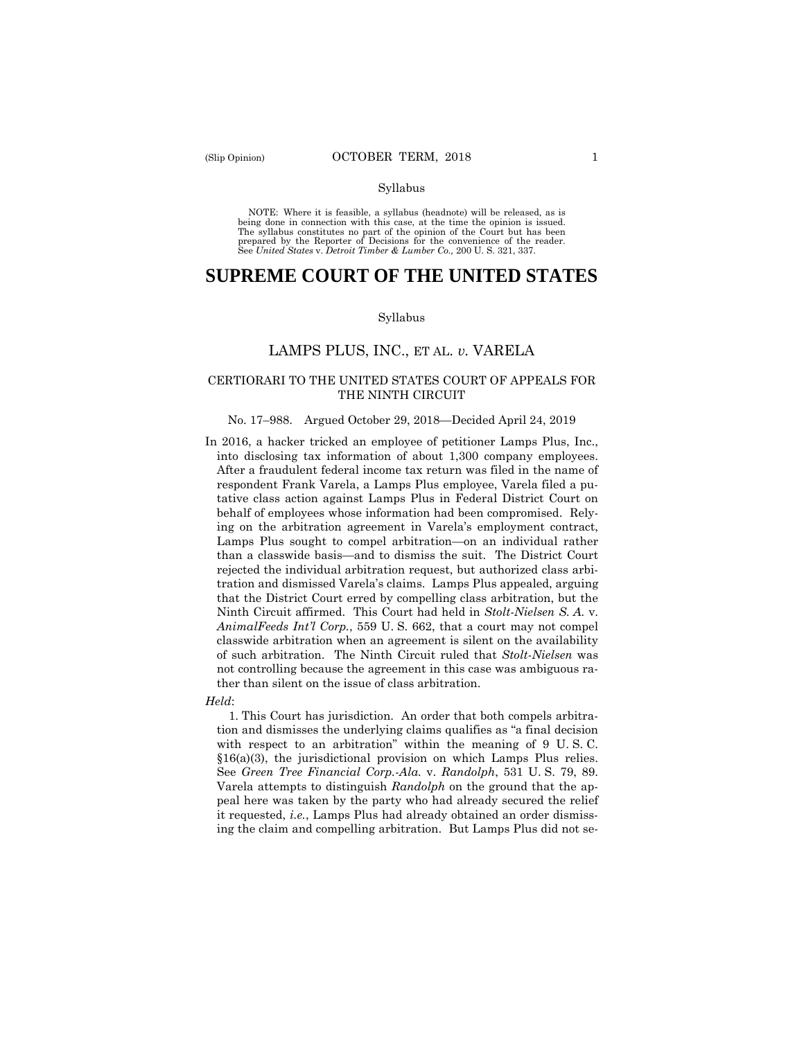#### Syllabus

 NOTE: Where it is feasible, a syllabus (headnote) will be released, as is being done in connection with this case, at the time the opinion is issued. The syllabus constitutes no part of the opinion of the Court but has been<br>prepared by the Reporter of Decisions for the convenience of the reader.<br>See United States v. Detroit Timber & Lumber Co., 200 U.S. 321, 337.

# **SUPREME COURT OF THE UNITED STATES**

#### Syllabus

# LAMPS PLUS, INC., ET AL. *v.* VARELA

### CERTIORARI TO THE UNITED STATES COURT OF APPEALS FOR THE NINTH CIRCUIT

#### No. 17–988. Argued October 29, 2018—Decided April 24, 2019

In 2016, a hacker tricked an employee of petitioner Lamps Plus, Inc., into disclosing tax information of about 1,300 company employees. After a fraudulent federal income tax return was filed in the name of respondent Frank Varela, a Lamps Plus employee, Varela filed a putative class action against Lamps Plus in Federal District Court on behalf of employees whose information had been compromised. Relying on the arbitration agreement in Varela's employment contract, Lamps Plus sought to compel arbitration—on an individual rather than a classwide basis—and to dismiss the suit. The District Court rejected the individual arbitration request, but authorized class arbitration and dismissed Varela's claims. Lamps Plus appealed, arguing that the District Court erred by compelling class arbitration, but the Ninth Circuit affirmed. This Court had held in *Stolt-Nielsen S. A.* v. *AnimalFeeds Int'l Corp.*, 559 U. S. 662, that a court may not compel classwide arbitration when an agreement is silent on the availability of such arbitration. The Ninth Circuit ruled that *Stolt-Nielsen* was not controlling because the agreement in this case was ambiguous rather than silent on the issue of class arbitration.

#### *Held*:

1. This Court has jurisdiction. An order that both compels arbitration and dismisses the underlying claims qualifies as "a final decision with respect to an arbitration" within the meaning of 9 U. S. C. §16(a)(3), the jurisdictional provision on which Lamps Plus relies. See *Green Tree Financial Corp.-Ala.* v. *Randolph*, 531 U. S. 79, 89. Varela attempts to distinguish *Randolph* on the ground that the appeal here was taken by the party who had already secured the relief it requested, *i.e.*, Lamps Plus had already obtained an order dismissing the claim and compelling arbitration. But Lamps Plus did not se-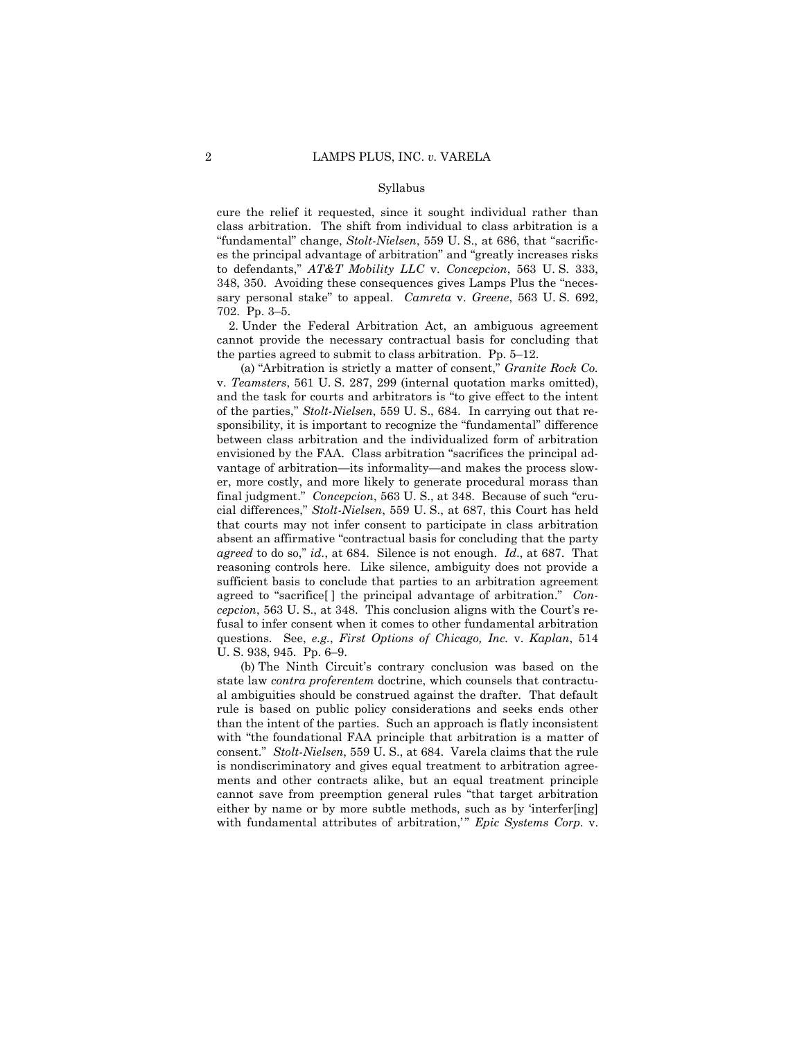#### Syllabus

cure the relief it requested, since it sought individual rather than class arbitration. The shift from individual to class arbitration is a "fundamental" change, *Stolt-Nielsen*, 559 U. S., at 686, that "sacrifices the principal advantage of arbitration" and "greatly increases risks to defendants," *AT&T Mobility LLC* v. *Concepcion*, 563 U. S. 333, 348, 350. Avoiding these consequences gives Lamps Plus the "necessary personal stake" to appeal. *Camreta* v. *Greene*, 563 U. S. 692, 702. Pp. 3–5.

2. Under the Federal Arbitration Act, an ambiguous agreement cannot provide the necessary contractual basis for concluding that the parties agreed to submit to class arbitration. Pp. 5–12.

(a) "Arbitration is strictly a matter of consent," *Granite Rock Co.*  v. *Teamsters*, 561 U. S. 287, 299 (internal quotation marks omitted), and the task for courts and arbitrators is "to give effect to the intent of the parties," *Stolt-Nielsen*, 559 U. S., 684. In carrying out that responsibility, it is important to recognize the "fundamental" difference between class arbitration and the individualized form of arbitration envisioned by the FAA. Class arbitration "sacrifices the principal advantage of arbitration—its informality—and makes the process slower, more costly, and more likely to generate procedural morass than final judgment." *Concepcion*, 563 U. S., at 348. Because of such "crucial differences," *Stolt-Nielsen*, 559 U. S., at 687, this Court has held that courts may not infer consent to participate in class arbitration absent an affirmative "contractual basis for concluding that the party *agreed* to do so," *id.*, at 684. Silence is not enough. *Id*., at 687. That reasoning controls here. Like silence, ambiguity does not provide a sufficient basis to conclude that parties to an arbitration agreement agreed to "sacrifice[ ] the principal advantage of arbitration." *Concepcion*, 563 U. S., at 348. This conclusion aligns with the Court's refusal to infer consent when it comes to other fundamental arbitration questions. See, *e.g.*, *First Options of Chicago, Inc.* v. *Kaplan*, 514 U. S. 938, 945. Pp. 6–9.

 state law *contra proferentem* doctrine, which counsels that contractu- al ambiguities should be construed against the drafter. That default (b) The Ninth Circuit's contrary conclusion was based on the rule is based on public policy considerations and seeks ends other than the intent of the parties. Such an approach is flatly inconsistent with "the foundational FAA principle that arbitration is a matter of consent." *Stolt-Nielsen*, 559 U. S., at 684. Varela claims that the rule is nondiscriminatory and gives equal treatment to arbitration agreements and other contracts alike, but an equal treatment principle cannot save from preemption general rules "that target arbitration either by name or by more subtle methods, such as by 'interfer[ing] with fundamental attributes of arbitration," *Epic Systems Corp.* v.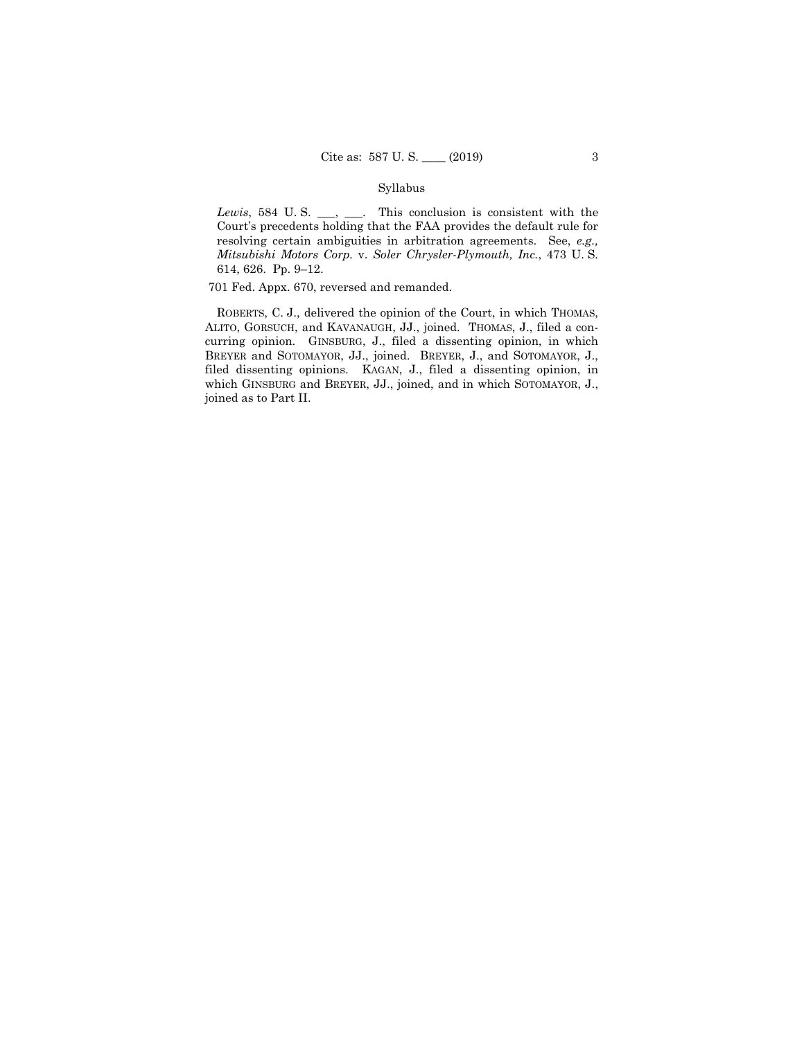### Syllabus

*Lewis*, 584 U.S. \_\_, \_\_\_. This conclusion is consistent with the Court's precedents holding that the FAA provides the default rule for resolving certain ambiguities in arbitration agreements. See, *e.g., Mitsubishi Motors Corp.* v. *Soler Chrysler-Plymouth, Inc.*, 473 U. S. 614, 626. Pp. 9–12.

701 Fed. Appx. 670, reversed and remanded.

ROBERTS, C. J., delivered the opinion of the Court, in which THOMAS, ALITO, GORSUCH, and KAVANAUGH, JJ., joined. THOMAS, J., filed a concurring opinion. GINSBURG, J., filed a dissenting opinion, in which BREYER and SOTOMAYOR, JJ., joined. BREYER, J., and SOTOMAYOR, J., filed dissenting opinions. KAGAN, J., filed a dissenting opinion, in which GINSBURG and BREYER, JJ., joined, and in which SOTOMAYOR, J., joined as to Part II.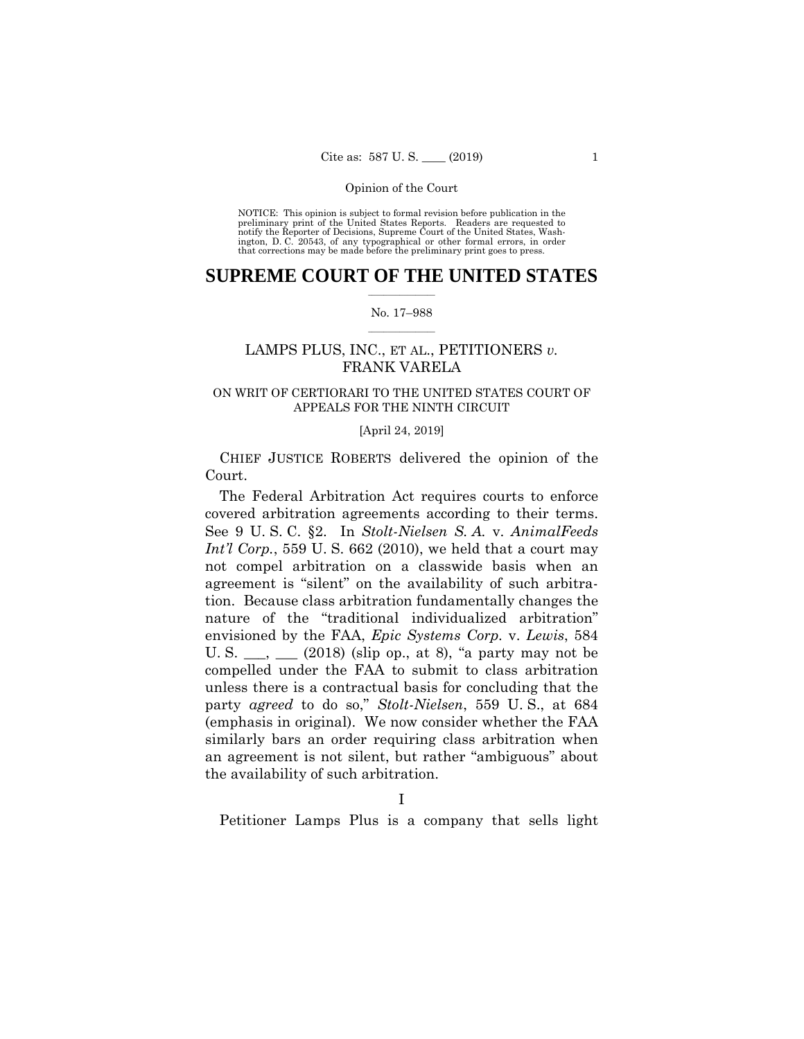preliminary print of the United States Reports. Readers are requested to notify the Reporter of Decisions, Supreme Court of the United States, Wash- ington, D. C. 20543, of any typographical or other formal errors, in order that corrections may be made before the preliminary print goes to press. NOTICE: This opinion is subject to formal revision before publication in the

## $\frac{1}{2}$  , where  $\frac{1}{2}$ **SUPREME COURT OF THE UNITED STATES**

#### $\frac{1}{2}$  ,  $\frac{1}{2}$  ,  $\frac{1}{2}$  ,  $\frac{1}{2}$  ,  $\frac{1}{2}$  ,  $\frac{1}{2}$ No. 17–988

# LAMPS PLUS, INC., ET AL., PETITIONERS *v.*  FRANK VARELA

# ON WRIT OF CERTIORARI TO THE UNITED STATES COURT OF APPEALS FOR THE NINTH CIRCUIT

#### [April 24, 2019]

CHIEF JUSTICE ROBERTS delivered the opinion of the Court.

covered arbitration agreements according to their terms. covered arbitration agreements according to their terms. See 9 U. S. C. §2. In *Stolt-Nielsen S. A.* v. *AnimalFeeds*  The Federal Arbitration Act requires courts to enforce *Int'l Corp.*, 559 U. S. 662 (2010), we held that a court may not compel arbitration on a classwide basis when an agreement is "silent" on the availability of such arbitration. Because class arbitration fundamentally changes the nature of the "traditional individualized arbitration" envisioned by the FAA, *Epic Systems Corp.* v. *Lewis*, 584 U. S.  $\_\_$ ,  $\_\_$  (2018) (slip op., at 8), "a party may not be compelled under the FAA to submit to class arbitration unless there is a contractual basis for concluding that the party *agreed* to do so," *Stolt-Nielsen*, 559 U. S., at 684 (emphasis in original). We now consider whether the FAA similarly bars an order requiring class arbitration when an agreement is not silent, but rather "ambiguous" about the availability of such arbitration.

Petitioner Lamps Plus is a company that sells light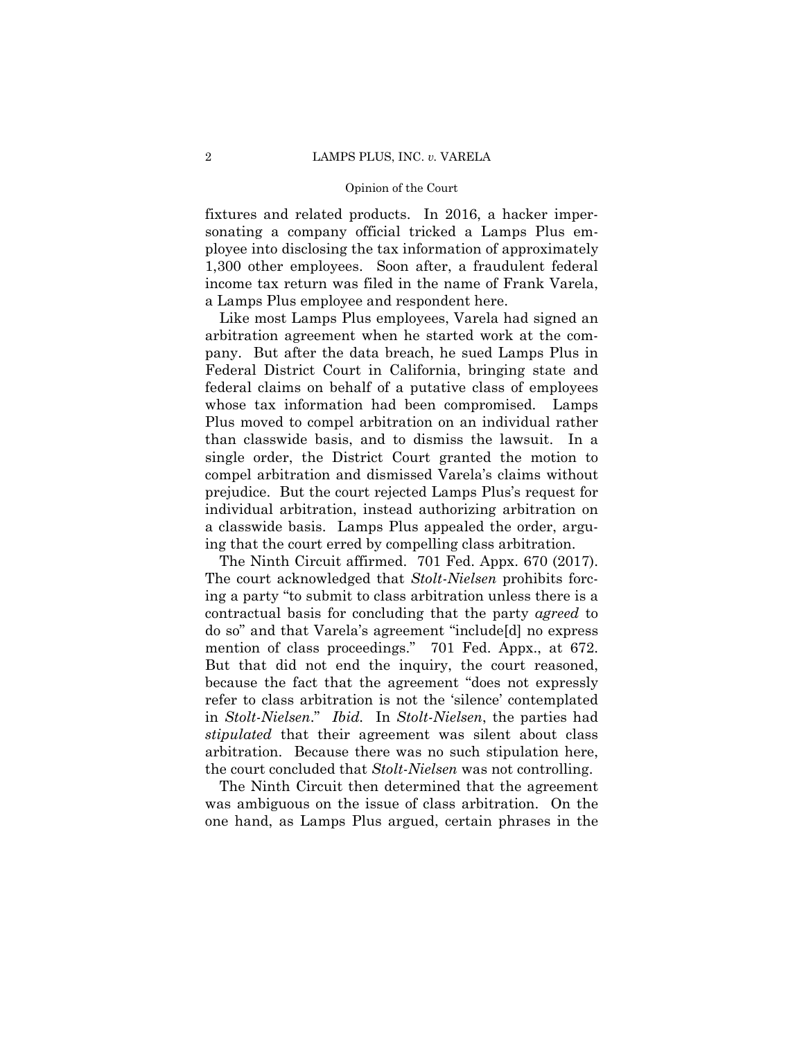fixtures and related products. In 2016, a hacker impersonating a company official tricked a Lamps Plus employee into disclosing the tax information of approximately 1,300 other employees. Soon after, a fraudulent federal income tax return was filed in the name of Frank Varela, a Lamps Plus employee and respondent here.

Like most Lamps Plus employees, Varela had signed an arbitration agreement when he started work at the company. But after the data breach, he sued Lamps Plus in Federal District Court in California, bringing state and federal claims on behalf of a putative class of employees whose tax information had been compromised. Lamps Plus moved to compel arbitration on an individual rather than classwide basis, and to dismiss the lawsuit. In a single order, the District Court granted the motion to compel arbitration and dismissed Varela's claims without prejudice. But the court rejected Lamps Plus's request for individual arbitration, instead authorizing arbitration on a classwide basis. Lamps Plus appealed the order, arguing that the court erred by compelling class arbitration.

The Ninth Circuit affirmed. 701 Fed. Appx. 670 (2017). The court acknowledged that *Stolt-Nielsen* prohibits forcing a party "to submit to class arbitration unless there is a contractual basis for concluding that the party *agreed* to do so" and that Varela's agreement "include[d] no express mention of class proceedings." 701 Fed. Appx., at 672. But that did not end the inquiry, the court reasoned, because the fact that the agreement "does not expressly refer to class arbitration is not the 'silence' contemplated in *Stolt-Nielsen*." *Ibid.* In *Stolt-Nielsen*, the parties had *stipulated* that their agreement was silent about class arbitration. Because there was no such stipulation here, the court concluded that *Stolt-Nielsen* was not controlling.

The Ninth Circuit then determined that the agreement was ambiguous on the issue of class arbitration. On the one hand, as Lamps Plus argued, certain phrases in the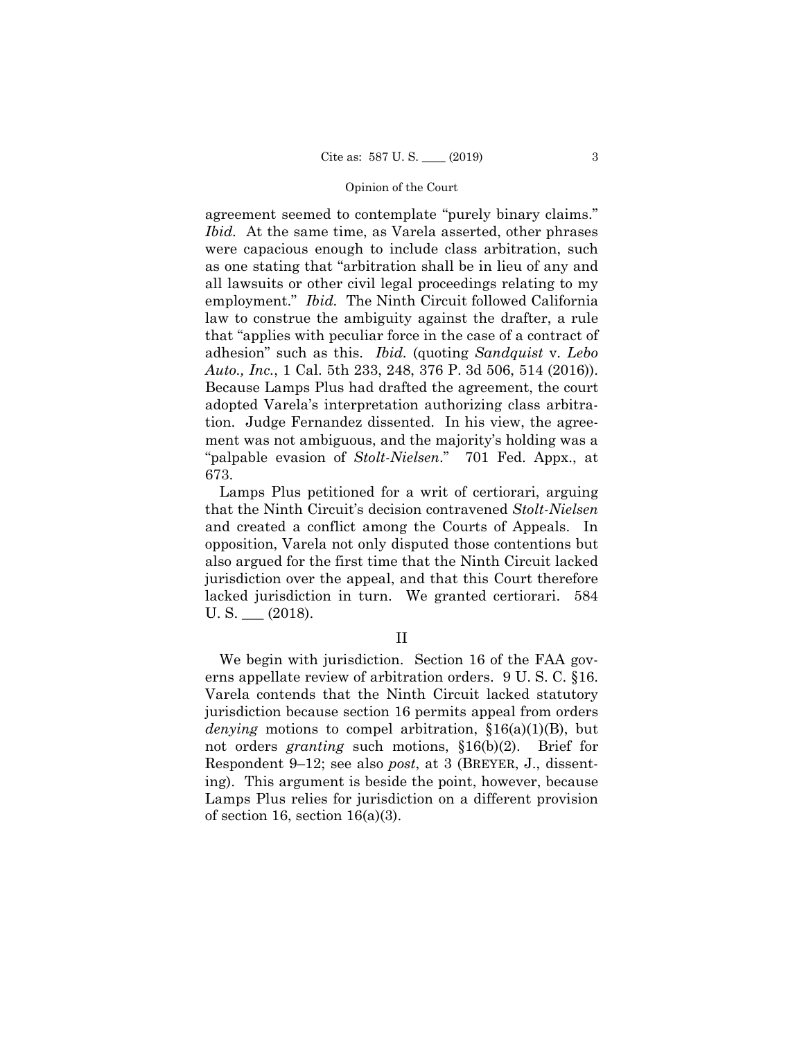agreement seemed to contemplate "purely binary claims." *Ibid.* At the same time, as Varela asserted, other phrases were capacious enough to include class arbitration, such as one stating that "arbitration shall be in lieu of any and all lawsuits or other civil legal proceedings relating to my employment." *Ibid.* The Ninth Circuit followed California law to construe the ambiguity against the drafter, a rule that "applies with peculiar force in the case of a contract of adhesion" such as this. *Ibid.* (quoting *Sandquist* v. *Lebo Auto., Inc.*, 1 Cal. 5th 233, 248, 376 P. 3d 506, 514 (2016)). Because Lamps Plus had drafted the agreement, the court adopted Varela's interpretation authorizing class arbitration. Judge Fernandez dissented. In his view, the agreement was not ambiguous, and the majority's holding was a "palpable evasion of *Stolt-Nielsen*." 701 Fed. Appx., at 673.

Lamps Plus petitioned for a writ of certiorari, arguing that the Ninth Circuit's decision contravened *Stolt-Nielsen*  and created a conflict among the Courts of Appeals. In opposition, Varela not only disputed those contentions but also argued for the first time that the Ninth Circuit lacked jurisdiction over the appeal, and that this Court therefore lacked jurisdiction in turn. We granted certiorari. 584  $U.S.$  (2018).

## II

We begin with jurisdiction. Section 16 of the FAA governs appellate review of arbitration orders. 9 U. S. C. §16. Varela contends that the Ninth Circuit lacked statutory jurisdiction because section 16 permits appeal from orders *denying* motions to compel arbitration, §16(a)(1)(B), but not orders *granting* such motions, §16(b)(2). Brief for Respondent 9–12; see also *post*, at 3 (BREYER, J., dissenting). This argument is beside the point, however, because Lamps Plus relies for jurisdiction on a different provision of section 16, section 16(a)(3).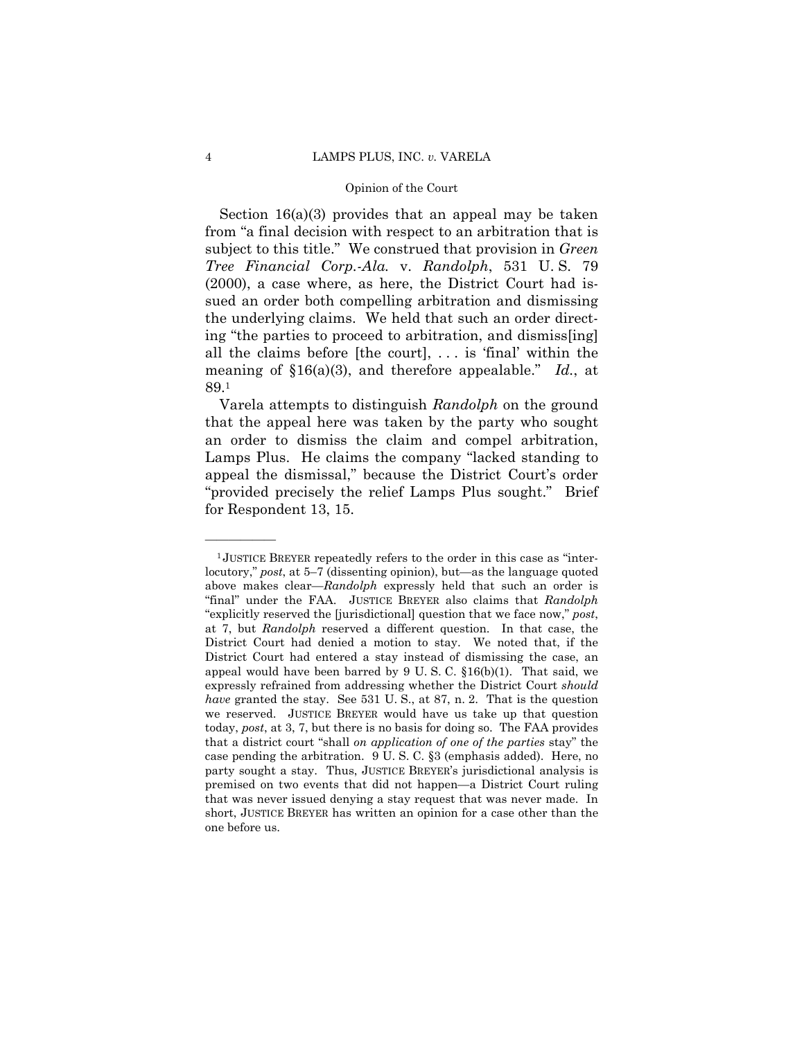Section 16(a)(3) provides that an appeal may be taken from "a final decision with respect to an arbitration that is subject to this title." We construed that provision in *Green Tree Financial Corp.-Ala.* v. *Randolph*, 531 U. S. 79 (2000), a case where, as here, the District Court had issued an order both compelling arbitration and dismissing the underlying claims. We held that such an order directing "the parties to proceed to arbitration, and dismiss[ing] all the claims before [the court],  $\dots$  is 'final' within the meaning of §16(a)(3), and therefore appealable." *Id.*, at 89.1

Varela attempts to distinguish *Randolph* on the ground that the appeal here was taken by the party who sought an order to dismiss the claim and compel arbitration, Lamps Plus. He claims the company "lacked standing to appeal the dismissal," because the District Court's order "provided precisely the relief Lamps Plus sought." Brief for Respondent 13, 15.

<sup>&</sup>lt;sup>1</sup>JUSTICE BREYER repeatedly refers to the order in this case as "interlocutory," *post*, at 5–7 (dissenting opinion), but—as the language quoted above makes clear—*Randolph* expressly held that such an order is "final" under the FAA. JUSTICE BREYER also claims that *Randolph* "explicitly reserved the [jurisdictional] question that we face now," *post*, at 7, but *Randolph* reserved a different question. In that case, the District Court had denied a motion to stay. We noted that, if the District Court had entered a stay instead of dismissing the case, an appeal would have been barred by  $9 \text{ U.S. C. }$   $$16(b)(1)$ . That said, we expressly refrained from addressing whether the District Court *should have* granted the stay. See 531 U. S., at 87, n. 2. That is the question we reserved. JUSTICE BREYER would have us take up that question today, *post*, at 3, 7, but there is no basis for doing so. The FAA provides that a district court "shall *on application of one of the parties* stay" the case pending the arbitration. 9 U. S. C. §3 (emphasis added). Here, no party sought a stay. Thus, JUSTICE BREYER's jurisdictional analysis is premised on two events that did not happen—a District Court ruling that was never issued denying a stay request that was never made. In short, JUSTICE BREYER has written an opinion for a case other than the one before us.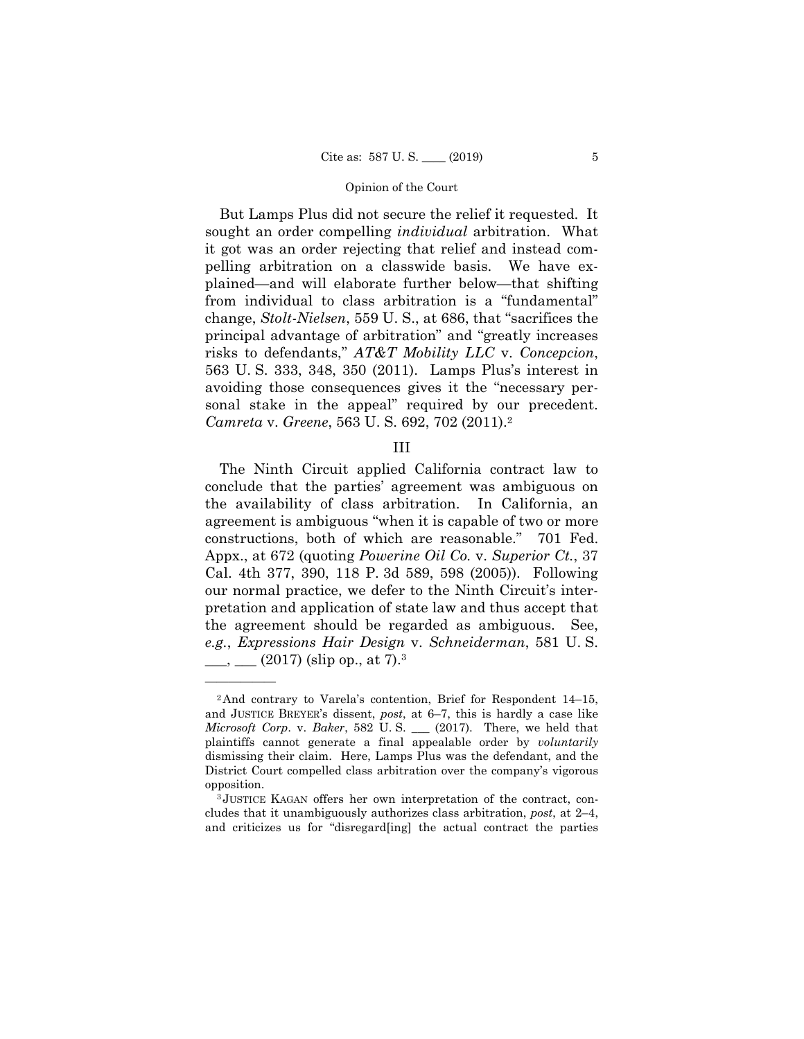sonal stake in the appeal" required by our precedent. But Lamps Plus did not secure the relief it requested. It sought an order compelling *individual* arbitration. What it got was an order rejecting that relief and instead compelling arbitration on a classwide basis. We have explained—and will elaborate further below—that shifting from individual to class arbitration is a "fundamental" change, *Stolt-Nielsen*, 559 U. S., at 686, that "sacrifices the principal advantage of arbitration" and "greatly increases risks to defendants," *AT&T Mobility LLC* v. *Concepcion*, 563 U. S. 333, 348, 350 (2011). Lamps Plus's interest in avoiding those consequences gives it the "necessary per-*Camreta* v. *Greene*, 563 U. S. 692, 702 (2011).2

### III

The Ninth Circuit applied California contract law to conclude that the parties' agreement was ambiguous on the availability of class arbitration. In California, an agreement is ambiguous "when it is capable of two or more constructions, both of which are reasonable." 701 Fed. Appx., at 672 (quoting *Powerine Oil Co.* v. *Superior Ct.*, 37 Cal. 4th 377, 390, 118 P. 3d 589, 598 (2005)). Following our normal practice, we defer to the Ninth Circuit's interpretation and application of state law and thus accept that the agreement should be regarded as ambiguous. See, *e.g.*, *Expressions Hair Design* v. *Schneiderman*, 581 U. S.  $\frac{1}{2}$ ,  $\frac{1}{2}$  (2017) (slip op., at 7).<sup>3</sup>

<sup>2</sup>And contrary to Varela's contention, Brief for Respondent 14–15, and JUSTICE BREYER's dissent, *post*, at 6–7, this is hardly a case like *Microsoft Corp*. v. *Baker*, 582 U. S. \_\_\_ (2017). There, we held that plaintiffs cannot generate a final appealable order by *voluntarily*  dismissing their claim. Here, Lamps Plus was the defendant, and the District Court compelled class arbitration over the company's vigorous

opposition. 3 JUSTICE KAGAN offers her own interpretation of the contract, concludes that it unambiguously authorizes class arbitration, *post*, at 2–4, and criticizes us for "disregard[ing] the actual contract the parties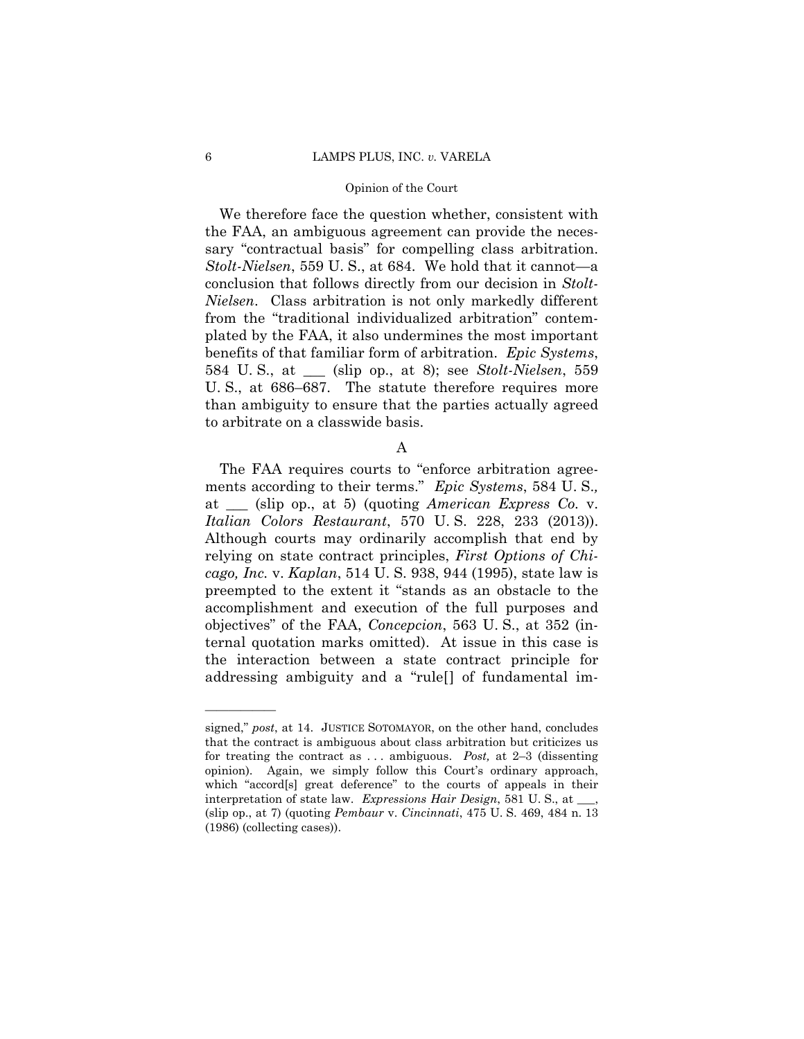#### 6 LAMPS PLUS, INC. *v.* VARELA

#### Opinion of the Court

We therefore face the question whether, consistent with the FAA, an ambiguous agreement can provide the necessary "contractual basis" for compelling class arbitration. *Stolt-Nielsen*, 559 U. S., at 684. We hold that it cannot—a conclusion that follows directly from our decision in *Stolt-Nielsen*. Class arbitration is not only markedly different from the "traditional individualized arbitration" contemplated by the FAA, it also undermines the most important benefits of that familiar form of arbitration. *Epic Systems*, 584 U. S., at \_\_\_ (slip op., at 8); see *Stolt-Nielsen*, 559 U. S., at 686–687. The statute therefore requires more than ambiguity to ensure that the parties actually agreed to arbitrate on a classwide basis.

A

 *Italian Colors Restaurant*, 570 U. S. 228, 233 (2013)). The FAA requires courts to "enforce arbitration agreements according to their terms." *Epic Systems*, 584 U. S.*,*  at \_\_\_ (slip op., at 5) (quoting *American Express Co.* v. Although courts may ordinarily accomplish that end by relying on state contract principles, *First Options of Chicago, Inc.* v. *Kaplan*, 514 U. S. 938, 944 (1995), state law is preempted to the extent it "stands as an obstacle to the accomplishment and execution of the full purposes and objectives" of the FAA, *Concepcion*, 563 U. S., at 352 (internal quotation marks omitted). At issue in this case is the interaction between a state contract principle for addressing ambiguity and a "rule[] of fundamental im-

 for treating the contract as . . . ambiguous. *Post,* at 2–3 (dissenting (slip op., at 7) (quoting *Pembaur* v. *Cincinnati*, 475 U. S. 469, 484 n. 13 signed," *post*, at 14. JUSTICE SOTOMAYOR, on the other hand, concludes that the contract is ambiguous about class arbitration but criticizes us opinion). Again, we simply follow this Court's ordinary approach, which "accord[s] great deference" to the courts of appeals in their interpretation of state law. *Expressions Hair Design*, 581 U. S., at \_\_\_, (1986) (collecting cases)).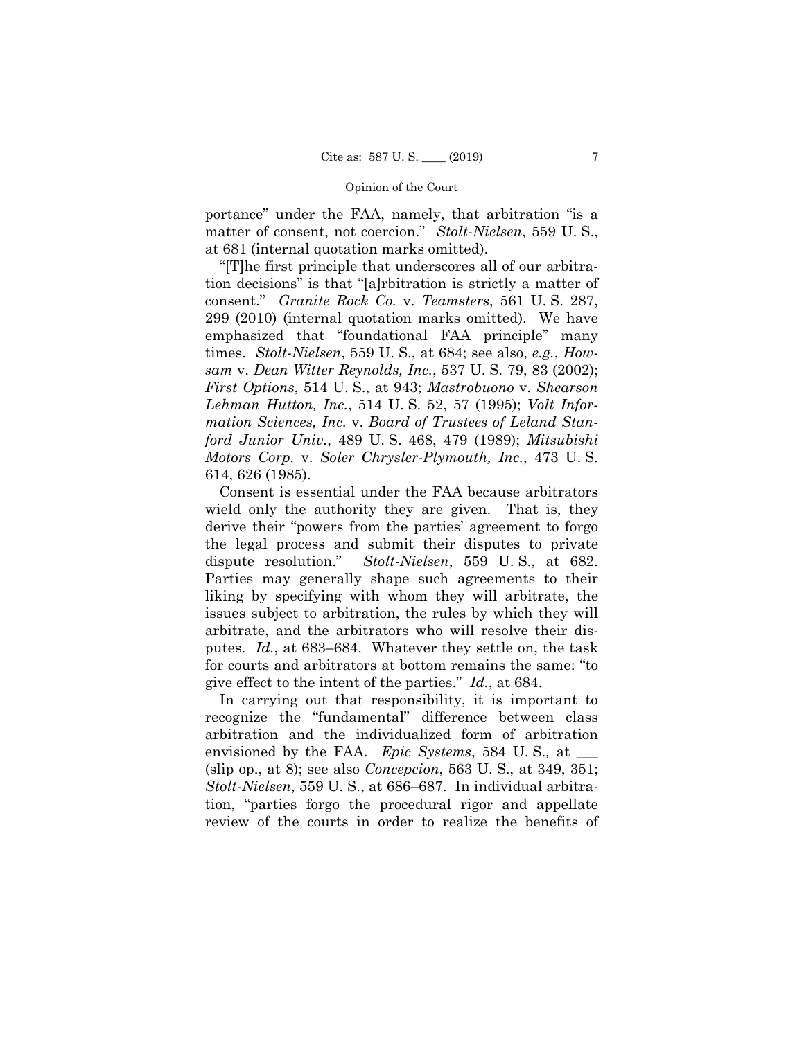portance" under the FAA, namely, that arbitration "is a matter of consent, not coercion." *Stolt-Nielsen*, 559 U. S., at 681 (internal quotation marks omitted).

"[T]he first principle that underscores all of our arbitration decisions" is that "[a]rbitration is strictly a matter of consent." *Granite Rock Co.* v. *Teamsters*, 561 U. S. 287, 299 (2010) (internal quotation marks omitted). We have emphasized that "foundational FAA principle" many times. *Stolt-Nielsen*, 559 U. S., at 684; see also, *e.g.*, *Howsam* v. *Dean Witter Reynolds, Inc.*, 537 U. S. 79, 83 (2002); *First Options*, 514 U. S., at 943; *Mastrobuono* v. *Shearson Lehman Hutton, Inc.*, 514 U. S. 52, 57 (1995); *Volt Information Sciences, Inc.* v. *Board of Trustees of Leland Stanford Junior Univ.*, 489 U. S. 468, 479 (1989); *Mitsubishi Motors Corp.* v. *Soler Chrysler-Plymouth, Inc.*, 473 U. S. 614, 626 (1985).

Consent is essential under the FAA because arbitrators wield only the authority they are given. That is, they derive their "powers from the parties' agreement to forgo the legal process and submit their disputes to private dispute resolution." *Stolt-Nielsen*, 559 U. S., at 682. Parties may generally shape such agreements to their liking by specifying with whom they will arbitrate, the issues subject to arbitration, the rules by which they will arbitrate, and the arbitrators who will resolve their disputes. *Id.*, at 683–684. Whatever they settle on, the task for courts and arbitrators at bottom remains the same: "to give effect to the intent of the parties." *Id.*, at 684.

In carrying out that responsibility, it is important to recognize the "fundamental" difference between class arbitration and the individualized form of arbitration envisioned by the FAA. *Epic Systems*, 584 U.S., at \_\_\_\_ (slip op., at 8); see also *Concepcion*, 563 U. S., at 349, 351; *Stolt-Nielsen*, 559 U. S., at 686–687. In individual arbitration, "parties forgo the procedural rigor and appellate review of the courts in order to realize the benefits of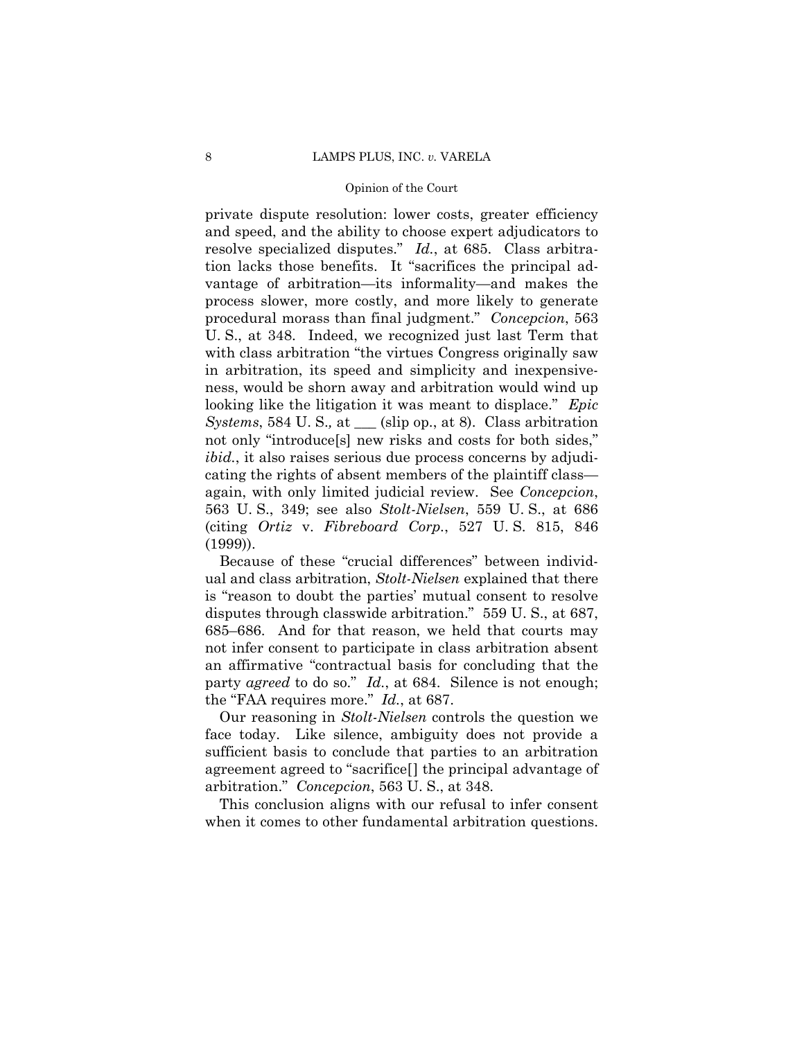private dispute resolution: lower costs, greater efficiency and speed, and the ability to choose expert adjudicators to resolve specialized disputes." *Id.*, at 685. Class arbitration lacks those benefits. It "sacrifices the principal advantage of arbitration—its informality—and makes the process slower, more costly, and more likely to generate procedural morass than final judgment." *Concepcion*, 563 U. S., at 348. Indeed, we recognized just last Term that with class arbitration "the virtues Congress originally saw in arbitration, its speed and simplicity and inexpensiveness, would be shorn away and arbitration would wind up looking like the litigation it was meant to displace." *Epic Systems*, 584 U. S.*,* at \_\_\_ (slip op., at 8). Class arbitration not only "introduce[s] new risks and costs for both sides," *ibid.*, it also raises serious due process concerns by adjudicating the rights of absent members of the plaintiff class again, with only limited judicial review. See *Concepcion*, 563 U. S., 349; see also *Stolt-Nielsen*, 559 U. S., at 686 (citing *Ortiz* v. *Fibreboard Corp.*, 527 U. S. 815, 846 (1999)).

 party *agreed* to do so." *Id.*, at 684. Silence is not enough; Because of these "crucial differences" between individual and class arbitration, *Stolt-Nielsen* explained that there is "reason to doubt the parties' mutual consent to resolve disputes through classwide arbitration." 559 U. S., at 687, 685–686. And for that reason, we held that courts may not infer consent to participate in class arbitration absent an affirmative "contractual basis for concluding that the the "FAA requires more." *Id.*, at 687.

Our reasoning in *Stolt-Nielsen* controls the question we face today. Like silence, ambiguity does not provide a sufficient basis to conclude that parties to an arbitration agreement agreed to "sacrifice[] the principal advantage of arbitration." *Concepcion*, 563 U. S., at 348.

This conclusion aligns with our refusal to infer consent when it comes to other fundamental arbitration questions.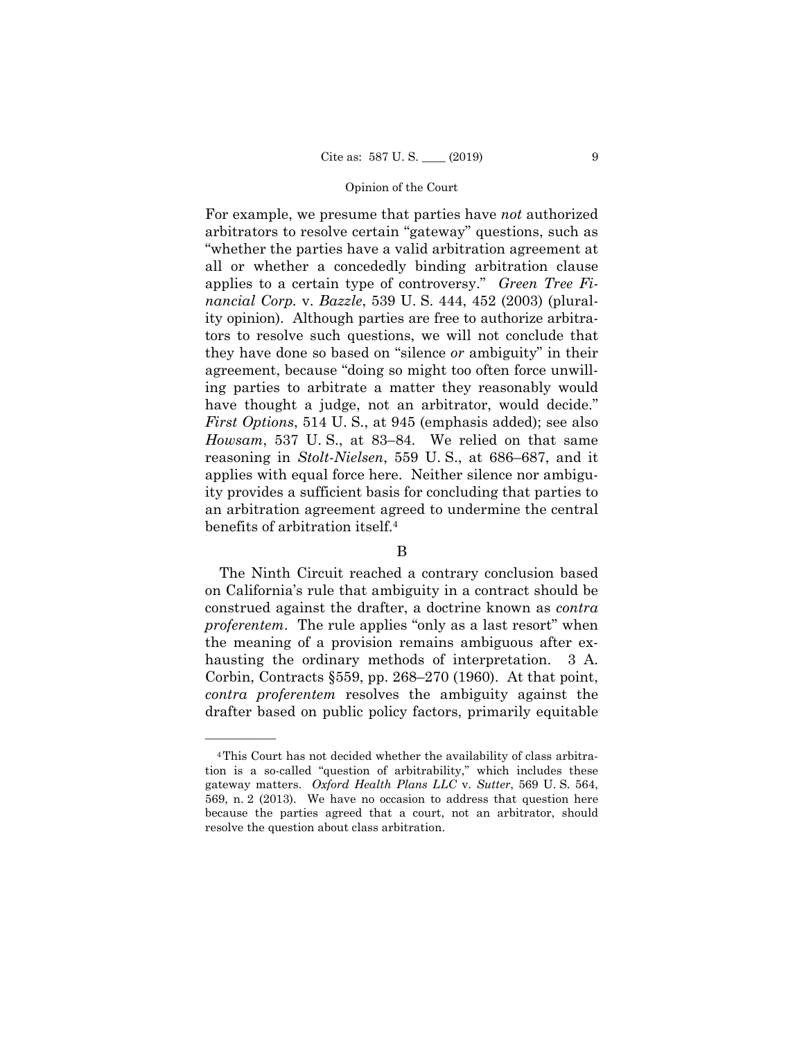For example, we presume that parties have *not* authorized arbitrators to resolve certain "gateway" questions, such as "whether the parties have a valid arbitration agreement at all or whether a concededly binding arbitration clause applies to a certain type of controversy." *Green Tree Financial Corp.* v. *Bazzle*, 539 U. S. 444, 452 (2003) (plurality opinion). Although parties are free to authorize arbitrators to resolve such questions, we will not conclude that they have done so based on "silence *or* ambiguity" in their agreement, because "doing so might too often force unwilling parties to arbitrate a matter they reasonably would have thought a judge, not an arbitrator, would decide." *First Options*, 514 U. S., at 945 (emphasis added); see also *Howsam*, 537 U. S., at 83–84. We relied on that same reasoning in *Stolt-Nielsen*, 559 U. S., at 686–687, and it applies with equal force here. Neither silence nor ambiguity provides a sufficient basis for concluding that parties to an arbitration agreement agreed to undermine the central benefits of arbitration itself.4

# B

The Ninth Circuit reached a contrary conclusion based on California's rule that ambiguity in a contract should be construed against the drafter, a doctrine known as *contra proferentem*. The rule applies "only as a last resort" when the meaning of a provision remains ambiguous after exhausting the ordinary methods of interpretation. 3 A. Corbin, Contracts §559, pp. 268–270 (1960). At that point, *contra proferentem* resolves the ambiguity against the drafter based on public policy factors, primarily equitable

<sup>4</sup>This Court has not decided whether the availability of class arbitration is a so-called "question of arbitrability," which includes these gateway matters. *Oxford Health Plans LLC* v. *Sutter*, 569 U. S. 564, 569, n. 2 (2013). We have no occasion to address that question here because the parties agreed that a court, not an arbitrator, should resolve the question about class arbitration.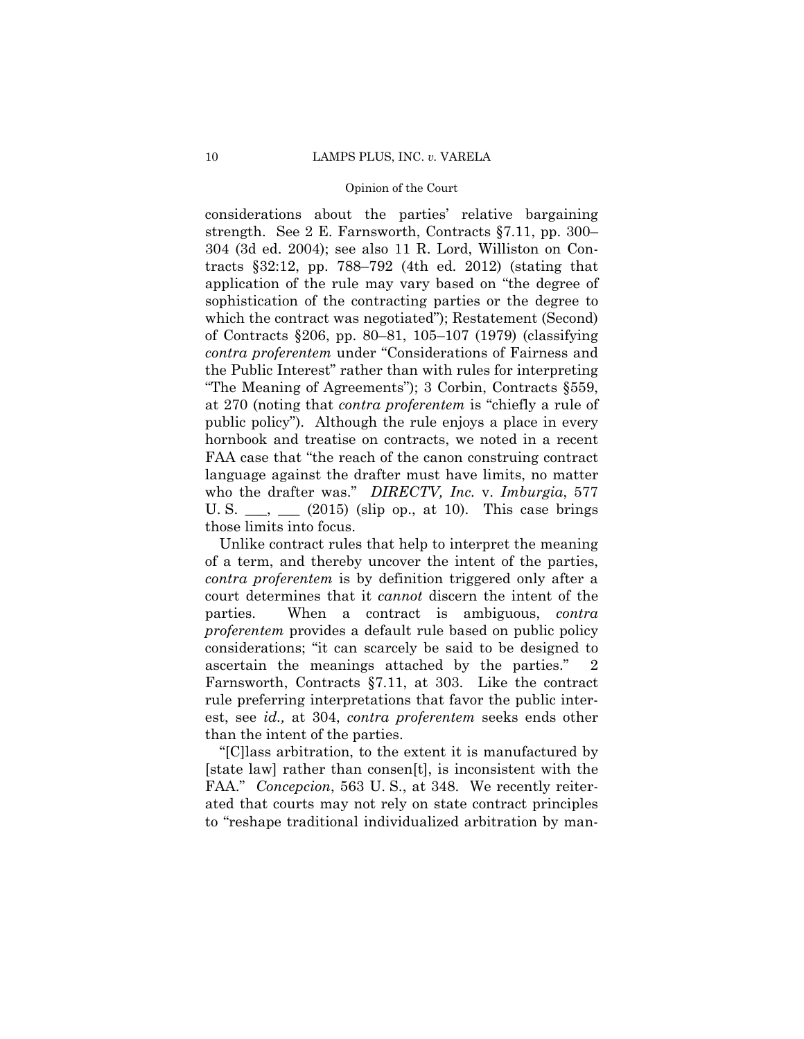who the drafter was." *DIRECTV, Inc.* v. *Imburgia*, 577 considerations about the parties' relative bargaining strength. See 2 E. Farnsworth, Contracts §7.11, pp. 300– 304 (3d ed. 2004); see also 11 R. Lord, Williston on Contracts §32:12, pp. 788–792 (4th ed. 2012) (stating that application of the rule may vary based on "the degree of sophistication of the contracting parties or the degree to which the contract was negotiated"); Restatement (Second) of Contracts §206, pp. 80–81, 105–107 (1979) (classifying *contra proferentem* under "Considerations of Fairness and the Public Interest" rather than with rules for interpreting "The Meaning of Agreements"); 3 Corbin, Contracts §559, at 270 (noting that *contra proferentem* is "chiefly a rule of public policy"). Although the rule enjoys a place in every hornbook and treatise on contracts, we noted in a recent FAA case that "the reach of the canon construing contract language against the drafter must have limits, no matter U. S.  $\_\_\_\_\_\_\_\_\$  (2015) (slip op., at 10). This case brings those limits into focus.

Unlike contract rules that help to interpret the meaning of a term, and thereby uncover the intent of the parties, *contra proferentem* is by definition triggered only after a court determines that it *cannot* discern the intent of the parties. When a contract is ambiguous, *contra proferentem* provides a default rule based on public policy considerations; "it can scarcely be said to be designed to ascertain the meanings attached by the parties." 2 Farnsworth, Contracts §7.11, at 303. Like the contract rule preferring interpretations that favor the public interest, see *id.,* at 304, *contra proferentem* seeks ends other than the intent of the parties.

 FAA." *Concepcion*, 563 U. S., at 348. We recently reiter-"[C]lass arbitration, to the extent it is manufactured by [state law] rather than consen[t], is inconsistent with the ated that courts may not rely on state contract principles to "reshape traditional individualized arbitration by man-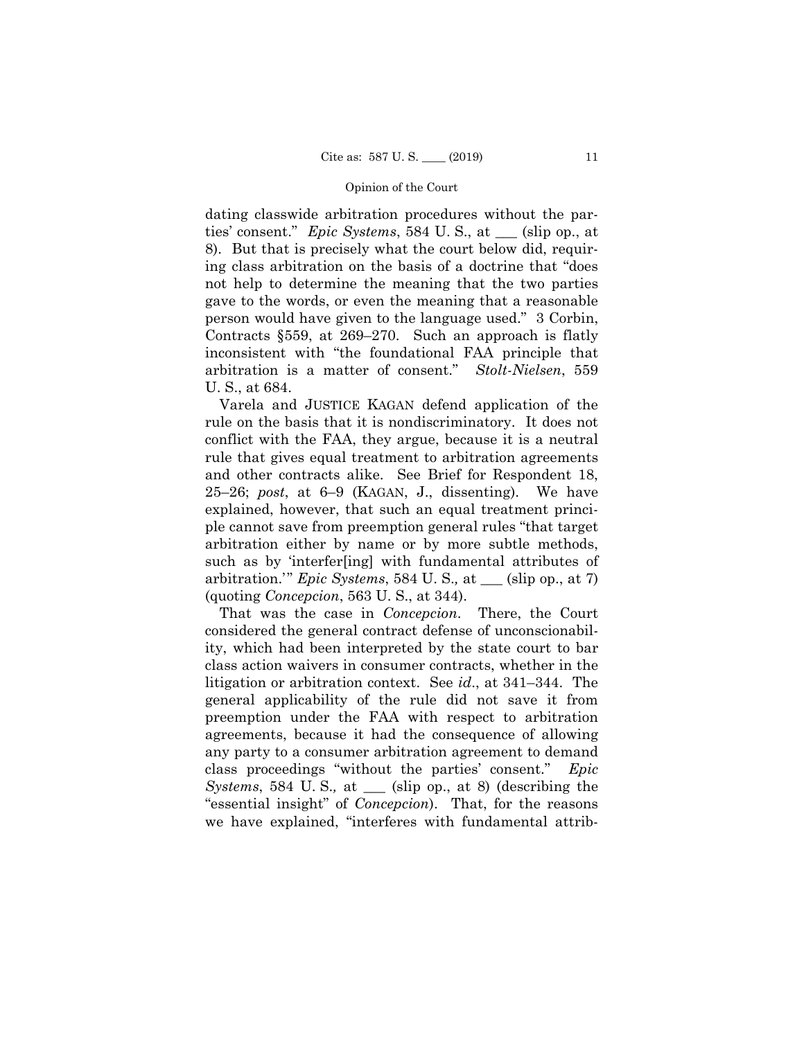dating classwide arbitration procedures without the parties' consent." *Epic Systems*, 584 U. S., at \_\_\_ (slip op., at 8). But that is precisely what the court below did, requiring class arbitration on the basis of a doctrine that "does not help to determine the meaning that the two parties gave to the words, or even the meaning that a reasonable person would have given to the language used." 3 Corbin, Contracts §559, at 269–270. Such an approach is flatly inconsistent with "the foundational FAA principle that arbitration is a matter of consent." *Stolt-Nielsen*, 559 U. S., at 684.

Varela and JUSTICE KAGAN defend application of the rule on the basis that it is nondiscriminatory. It does not conflict with the FAA, they argue, because it is a neutral rule that gives equal treatment to arbitration agreements and other contracts alike. See Brief for Respondent 18, 25–26; *post*, at 6–9 (KAGAN, J., dissenting). We have explained, however, that such an equal treatment principle cannot save from preemption general rules "that target arbitration either by name or by more subtle methods, such as by 'interfer[ing] with fundamental attributes of arbitration.'" *Epic Systems*, 584 U. S.*,* at \_\_\_ (slip op., at 7) (quoting *Concepcion*, 563 U. S., at 344).

That was the case in *Concepcion*. There, the Court considered the general contract defense of unconscionability, which had been interpreted by the state court to bar class action waivers in consumer contracts, whether in the litigation or arbitration context. See *id*., at 341–344. The general applicability of the rule did not save it from preemption under the FAA with respect to arbitration agreements, because it had the consequence of allowing any party to a consumer arbitration agreement to demand class proceedings "without the parties' consent." *Epic Systems*, 584 U. S.*,* at \_\_\_ (slip op., at 8) (describing the "essential insight" of *Concepcion*). That, for the reasons we have explained, "interferes with fundamental attrib-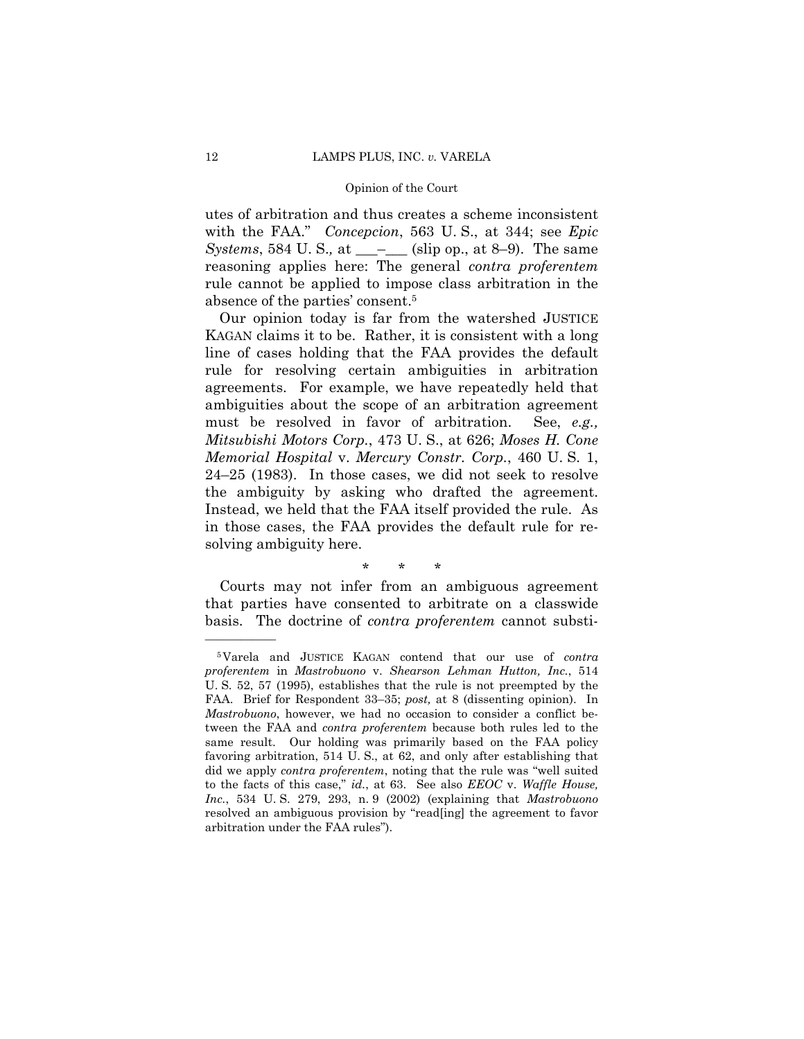utes of arbitration and thus creates a scheme inconsistent with the FAA." *Concepcion*, 563 U. S., at 344; see *Epic Systems*, 584 U. S., at \_\_\_<sup>\_</sup>\_\_\_ (slip op., at 8–9). The same reasoning applies here: The general *contra proferentem*  rule cannot be applied to impose class arbitration in the absence of the parties' consent.5

Our opinion today is far from the watershed JUSTICE KAGAN claims it to be. Rather, it is consistent with a long line of cases holding that the FAA provides the default rule for resolving certain ambiguities in arbitration agreements. For example, we have repeatedly held that ambiguities about the scope of an arbitration agreement must be resolved in favor of arbitration. See, *e.g., Mitsubishi Motors Corp.*, 473 U. S., at 626; *Moses H. Cone Memorial Hospital* v. *Mercury Constr. Corp.*, 460 U. S. 1, 24–25 (1983). In those cases, we did not seek to resolve the ambiguity by asking who drafted the agreement. Instead, we held that the FAA itself provided the rule. As in those cases, the FAA provides the default rule for resolving ambiguity here.

\* \* \*

Courts may not infer from an ambiguous agreement that parties have consented to arbitrate on a classwide basis. The doctrine of *contra proferentem* cannot substi-

<sup>5</sup>Varela and JUSTICE KAGAN contend that our use of *contra proferentem* in *Mastrobuono* v. *Shearson Lehman Hutton, Inc.*, 514 U. S. 52, 57 (1995), establishes that the rule is not preempted by the FAA. Brief for Respondent 33–35; *post,* at 8 (dissenting opinion). In *Mastrobuono*, however, we had no occasion to consider a conflict between the FAA and *contra proferentem* because both rules led to the same result. Our holding was primarily based on the FAA policy favoring arbitration, 514 U. S., at 62, and only after establishing that did we apply *contra proferentem*, noting that the rule was "well suited to the facts of this case," *id.*, at 63. See also *EEOC* v. *Waffle House, Inc.*, 534 U. S. 279, 293, n. 9 (2002) (explaining that *Mastrobuono*  resolved an ambiguous provision by "read[ing] the agreement to favor arbitration under the FAA rules").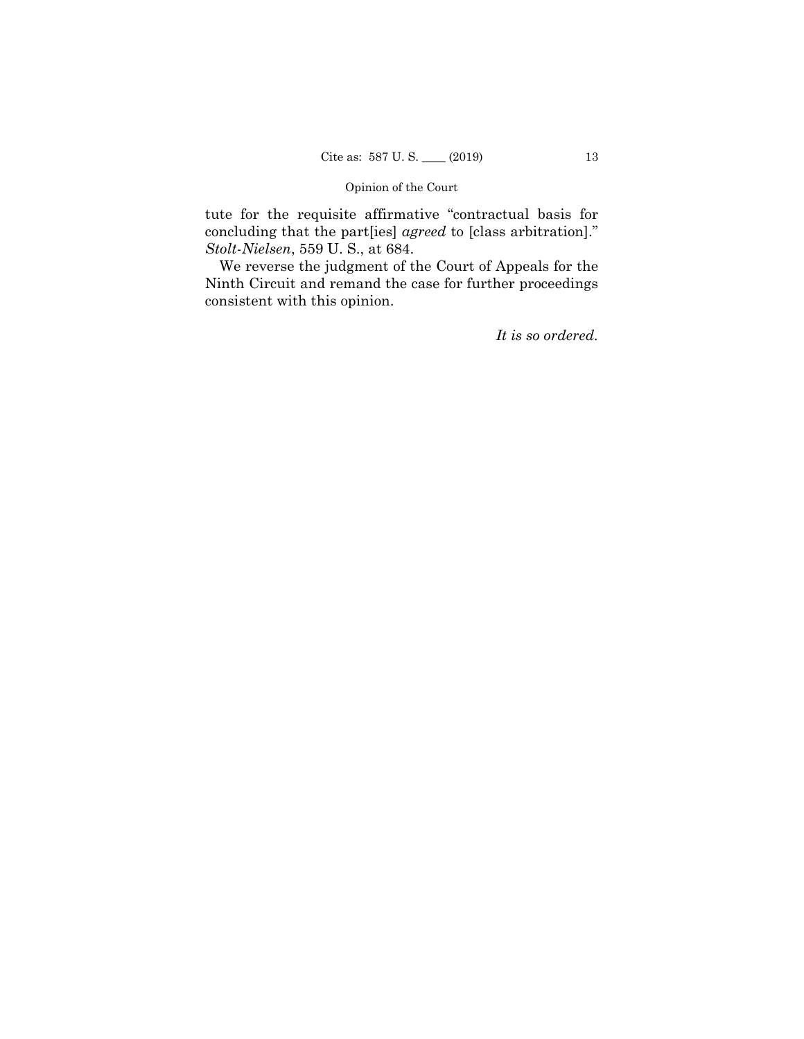tute for the requisite affirmative "contractual basis for concluding that the part[ies] *agreed* to [class arbitration]." *Stolt-Nielsen*, 559 U. S., at 684.

We reverse the judgment of the Court of Appeals for the Ninth Circuit and remand the case for further proceedings consistent with this opinion.

*It is so ordered.*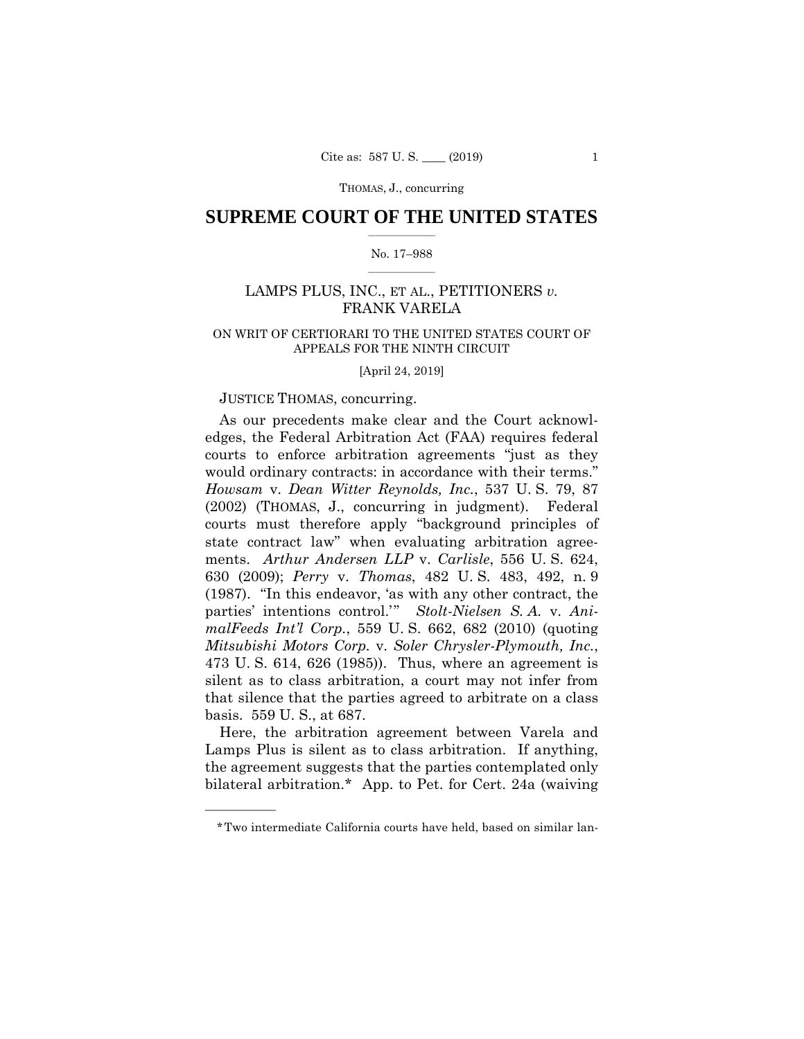THOMAS, J., concurring

## $\frac{1}{2}$  , where  $\frac{1}{2}$ **SUPREME COURT OF THE UNITED STATES**

#### $\frac{1}{2}$  ,  $\frac{1}{2}$  ,  $\frac{1}{2}$  ,  $\frac{1}{2}$  ,  $\frac{1}{2}$  ,  $\frac{1}{2}$ No. 17–988

# LAMPS PLUS, INC., ET AL., PETITIONERS *v.*  FRANK VARELA

# ON WRIT OF CERTIORARI TO THE UNITED STATES COURT OF APPEALS FOR THE NINTH CIRCUIT

[April 24, 2019]

### JUSTICE THOMAS, concurring.

——————

 630 (2009); *Perry* v. *Thomas*, 482 U. S. 483, 492, n. 9 As our precedents make clear and the Court acknowledges, the Federal Arbitration Act (FAA) requires federal courts to enforce arbitration agreements "just as they would ordinary contracts: in accordance with their terms." *Howsam* v. *Dean Witter Reynolds, Inc.*, 537 U. S. 79, 87 (2002) (THOMAS, J., concurring in judgment). Federal courts must therefore apply "background principles of state contract law" when evaluating arbitration agreements. *Arthur Andersen LLP* v. *Carlisle*, 556 U. S. 624, (1987). "In this endeavor, 'as with any other contract, the parties' intentions control.'" *Stolt-Nielsen S. A.* v. *AnimalFeeds Int'l Corp.*, 559 U. S. 662, 682 (2010) (quoting *Mitsubishi Motors Corp.* v. *Soler Chrysler-Plymouth, Inc.*, 473 U. S. 614, 626 (1985)). Thus, where an agreement is silent as to class arbitration, a court may not infer from that silence that the parties agreed to arbitrate on a class basis. 559 U. S., at 687.

Here, the arbitration agreement between Varela and Lamps Plus is silent as to class arbitration. If anything, the agreement suggests that the parties contemplated only bilateral arbitration.\* App. to Pet. for Cert. 24a (waiving

<sup>\*</sup>Two intermediate California courts have held, based on similar lan-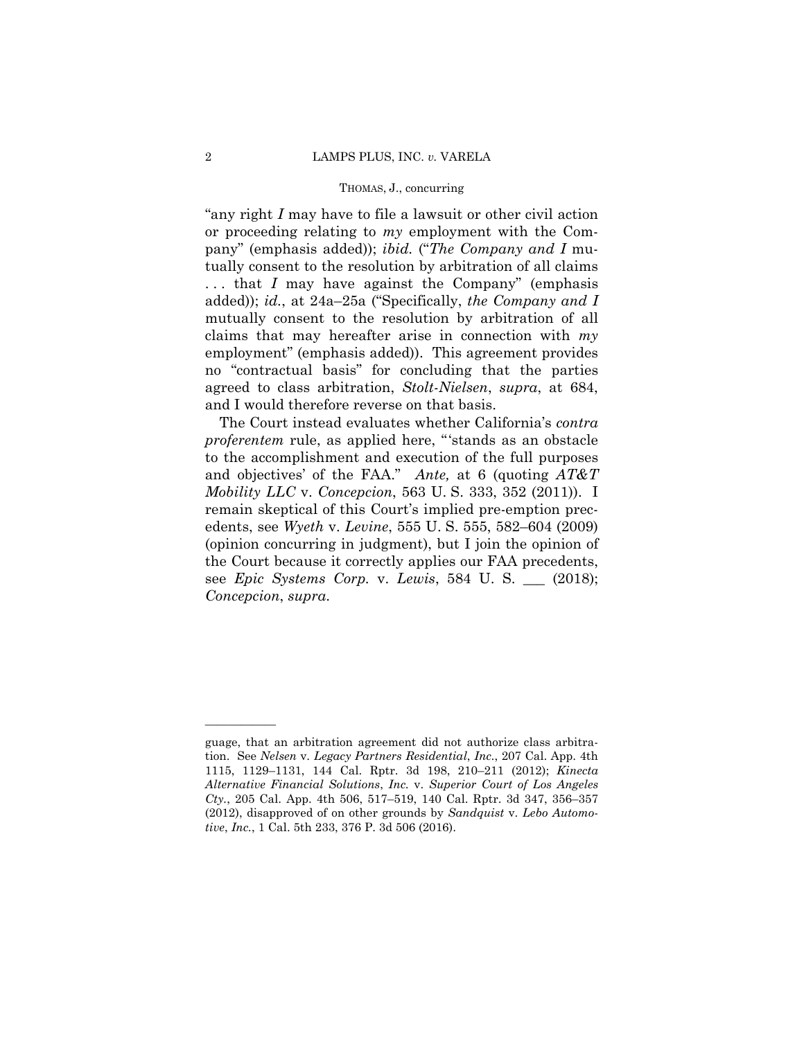#### THOMAS, J., concurring

"any right *I* may have to file a lawsuit or other civil action or proceeding relating to *my* employment with the Company" (emphasis added)); *ibid.* ("*The Company and I* mutually consent to the resolution by arbitration of all claims . . . that *I* may have against the Company" (emphasis added)); *id.*, at 24a–25a ("Specifically, *the Company and I* mutually consent to the resolution by arbitration of all claims that may hereafter arise in connection with *my* employment" (emphasis added)). This agreement provides no "contractual basis" for concluding that the parties agreed to class arbitration, *Stolt-Nielsen*, *supra*, at 684, and I would therefore reverse on that basis.

The Court instead evaluates whether California's *contra proferentem* rule, as applied here, "'stands as an obstacle to the accomplishment and execution of the full purposes and objectives' of the FAA." *Ante,* at 6 (quoting *AT&T Mobility LLC* v. *Concepcion*, 563 U. S. 333, 352 (2011)). I remain skeptical of this Court's implied pre-emption precedents, see *Wyeth* v. *Levine*, 555 U. S. 555, 582–604 (2009) (opinion concurring in judgment), but I join the opinion of the Court because it correctly applies our FAA precedents, see *Epic Systems Corp.* v. *Lewis*, 584 U. S. \_\_\_ (2018); *Concepcion*, *supra*.

guage, that an arbitration agreement did not authorize class arbitration. See *Nelsen* v. *Legacy Partners Residential*, *Inc.*, 207 Cal. App. 4th 1115, 1129–1131, 144 Cal. Rptr. 3d 198, 210–211 (2012); *Kinecta Alternative Financial Solutions*, *Inc.* v. *Superior Court of Los Angeles Cty.*, 205 Cal. App. 4th 506, 517–519, 140 Cal. Rptr. 3d 347, 356–357 (2012), disapproved of on other grounds by *Sandquist* v. *Lebo Automotive*, *Inc.*, 1 Cal. 5th 233, 376 P. 3d 506 (2016).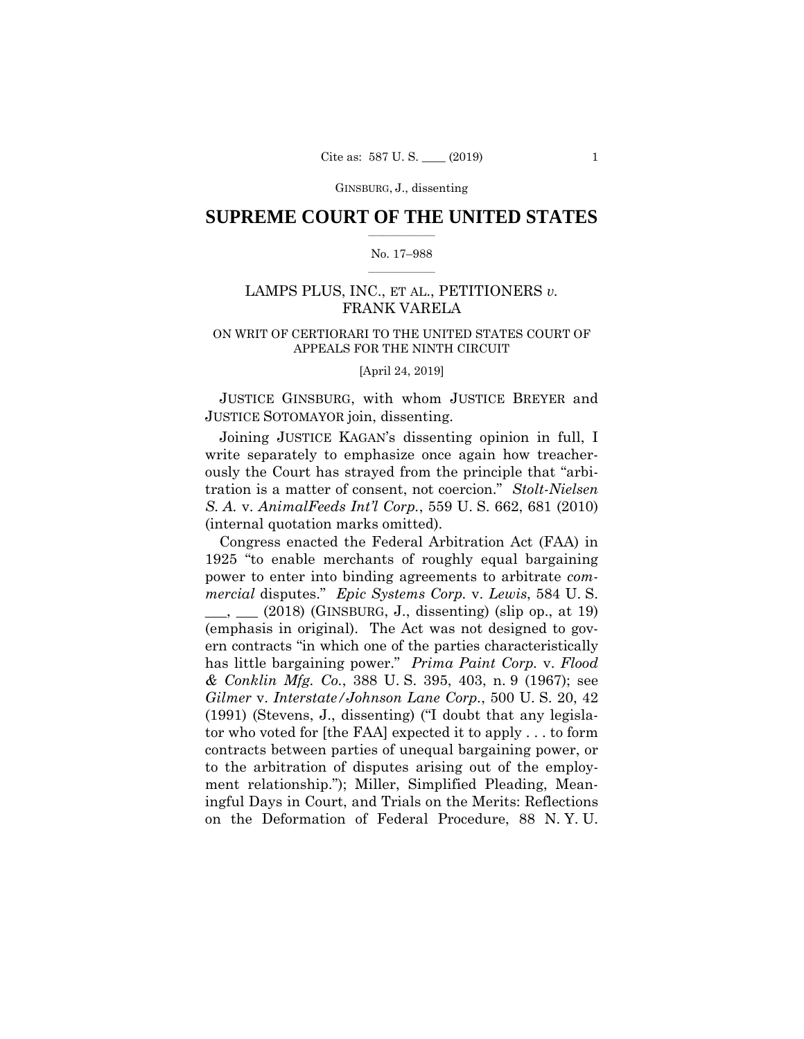## $\frac{1}{2}$  , where  $\frac{1}{2}$ **SUPREME COURT OF THE UNITED STATES**

#### $\frac{1}{2}$  ,  $\frac{1}{2}$  ,  $\frac{1}{2}$  ,  $\frac{1}{2}$  ,  $\frac{1}{2}$  ,  $\frac{1}{2}$ No. 17–988

# LAMPS PLUS, INC., ET AL., PETITIONERS *v.*  FRANK VARELA

# ON WRIT OF CERTIORARI TO THE UNITED STATES COURT OF APPEALS FOR THE NINTH CIRCUIT

[April 24, 2019]

JUSTICE GINSBURG, with whom JUSTICE BREYER and JUSTICE SOTOMAYOR join, dissenting.

Joining JUSTICE KAGAN's dissenting opinion in full, I write separately to emphasize once again how treacherously the Court has strayed from the principle that "arbitration is a matter of consent, not coercion." *Stolt-Nielsen S. A.* v. *AnimalFeeds Int'l Corp.*, 559 U. S. 662, 681 (2010) (internal quotation marks omitted).

Congress enacted the Federal Arbitration Act (FAA) in 1925 "to enable merchants of roughly equal bargaining power to enter into binding agreements to arbitrate *commercial* disputes." *Epic Systems Corp.* v. *Lewis*, 584 U. S.  $\mu$ ,  $\mu$  (2018) (GINSBURG, J., dissenting) (slip op., at 19) (emphasis in original). The Act was not designed to govern contracts "in which one of the parties characteristically has little bargaining power." *Prima Paint Corp.* v. *Flood & Conklin Mfg. Co.*, 388 U. S. 395, 403, n. 9 (1967); see *Gilmer* v. *Interstate/Johnson Lane Corp.*, 500 U. S. 20, 42 (1991) (Stevens, J., dissenting) ("I doubt that any legislator who voted for [the FAA] expected it to apply . . . to form contracts between parties of unequal bargaining power, or to the arbitration of disputes arising out of the employment relationship."); Miller, Simplified Pleading, Meaningful Days in Court, and Trials on the Merits: Reflections on the Deformation of Federal Procedure, 88 N. Y. U.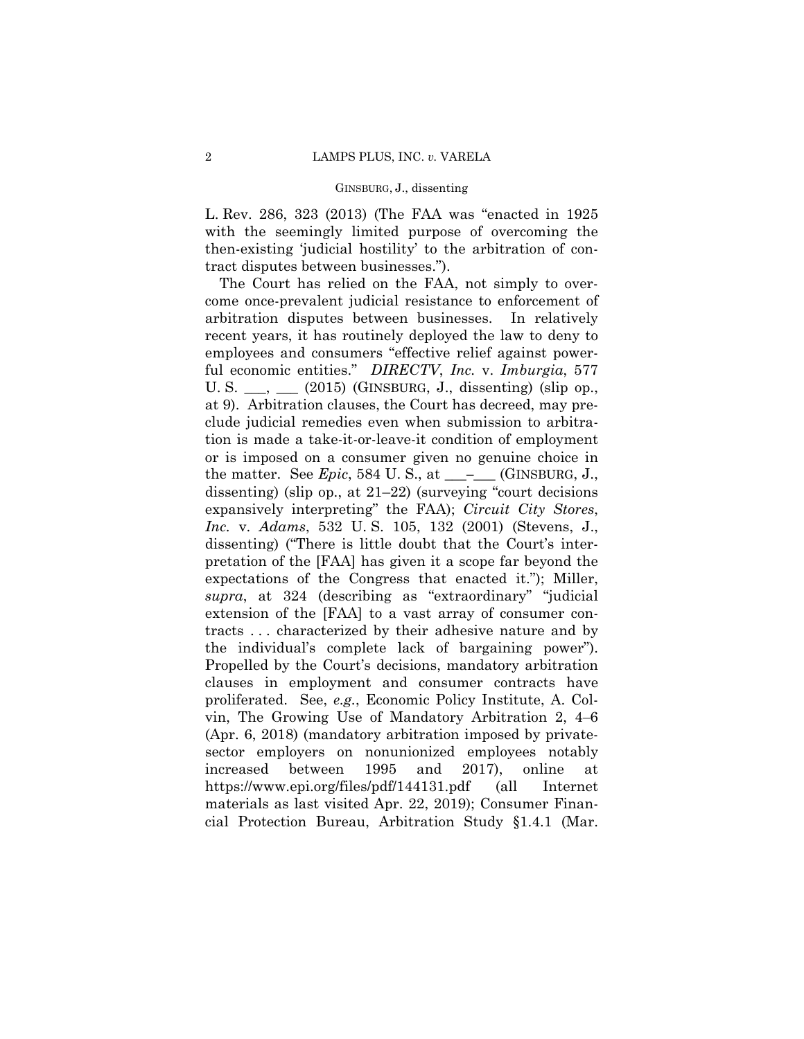L. Rev. 286, 323 (2013) (The FAA was "enacted in 1925 with the seemingly limited purpose of overcoming the then-existing 'judicial hostility' to the arbitration of contract disputes between businesses.").

The Court has relied on the FAA, not simply to overcome once-prevalent judicial resistance to enforcement of arbitration disputes between businesses. In relatively recent years, it has routinely deployed the law to deny to employees and consumers "effective relief against powerful economic entities." *DIRECTV*, *Inc.* v. *Imburgia*, 577 U. S.  $\_\_\_\_\_\_\_\_\$  (2015) (GINSBURG, J., dissenting) (slip op., at 9). Arbitration clauses, the Court has decreed, may preclude judicial remedies even when submission to arbitration is made a take-it-or-leave-it condition of employment or is imposed on a consumer given no genuine choice in the matter. See *Epic*, 584 U.S., at  $\_\_\_\_\_\$  (GINSBURG, J., dissenting) (slip op., at 21–22) (surveying "court decisions expansively interpreting" the FAA); *Circuit City Stores*, *Inc.* v. *Adams*, 532 U. S. 105, 132 (2001) (Stevens, J., dissenting) ("There is little doubt that the Court's interpretation of the [FAA] has given it a scope far beyond the expectations of the Congress that enacted it."); Miller, *supra*, at 324 (describing as "extraordinary" "judicial extension of the [FAA] to a vast array of consumer contracts . . . characterized by their adhesive nature and by the individual's complete lack of bargaining power"). Propelled by the Court's decisions, mandatory arbitration clauses in employment and consumer contracts have proliferated. See, *e.g.*, Economic Policy Institute, A. Colvin, The Growing Use of Mandatory Arbitration 2, 4‒6 (Apr. 6, 2018) (mandatory arbitration imposed by privatesector employers on nonunionized employees notably increased between 1995 and 2017), online at <https://www.epi.org/files/pdf/144131.pdf> (all Internet materials as last visited Apr. 22, 2019); Consumer Financial Protection Bureau, Arbitration Study §1.4.1 (Mar.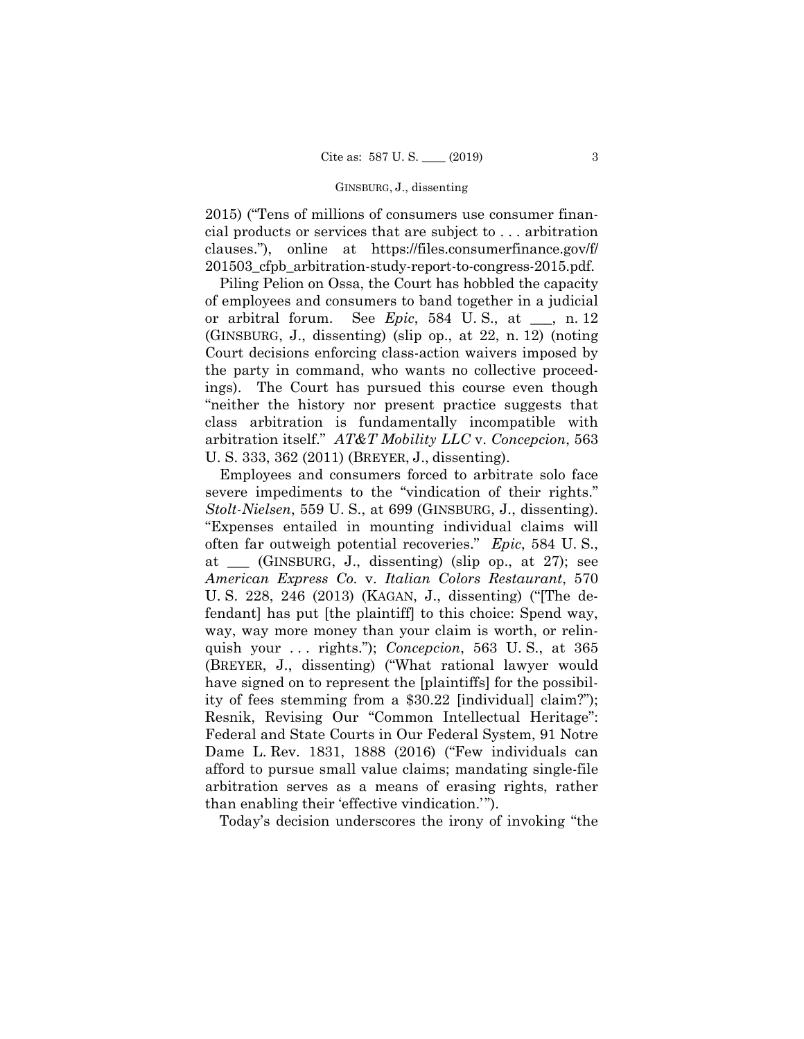2015) ("Tens of millions of consumers use consumer financial products or services that are subject to . . . arbitration clauses."), online at [https://files.consumerfinance.gov/f/](https://files.consumerfinance.gov/f) 201503\_cfpb\_arbitration-study-report-to-congress-2015.pdf.

 U. S. 333, 362 (2011) (BREYER, J., dissenting). Piling Pelion on Ossa, the Court has hobbled the capacity of employees and consumers to band together in a judicial or arbitral forum. See *Epic*, 584 U. S., at \_\_\_, n. 12 (GINSBURG, J., dissenting) (slip op., at 22, n. 12) (noting Court decisions enforcing class-action waivers imposed by the party in command, who wants no collective proceedings). The Court has pursued this course even though "neither the history nor present practice suggests that class arbitration is fundamentally incompatible with arbitration itself." *AT&T Mobility LLC* v. *Concepcion*, 563

Employees and consumers forced to arbitrate solo face severe impediments to the "vindication of their rights." *Stolt-Nielsen*, 559 U. S., at 699 (GINSBURG, J., dissenting). "Expenses entailed in mounting individual claims will often far outweigh potential recoveries." *Epic*, 584 U. S., at \_\_\_ (GINSBURG, J., dissenting) (slip op., at 27); see *American Express Co.* v. *Italian Colors Restaurant*, 570 U. S. 228, 246 (2013) (KAGAN, J., dissenting) ("[The defendant] has put [the plaintiff] to this choice: Spend way, way, way more money than your claim is worth, or relinquish your . . . rights."); *Concepcion*, 563 U. S., at 365 (BREYER, J., dissenting) ("What rational lawyer would have signed on to represent the [plaintiffs] for the possibility of fees stemming from a \$30.22 [individual] claim?"); Resnik, Revising Our "Common Intellectual Heritage": Federal and State Courts in Our Federal System, 91 Notre Dame L. Rev. 1831, 1888 (2016) ("Few individuals can afford to pursue small value claims; mandating single-file arbitration serves as a means of erasing rights, rather than enabling their 'effective vindication.'").

Today's decision underscores the irony of invoking "the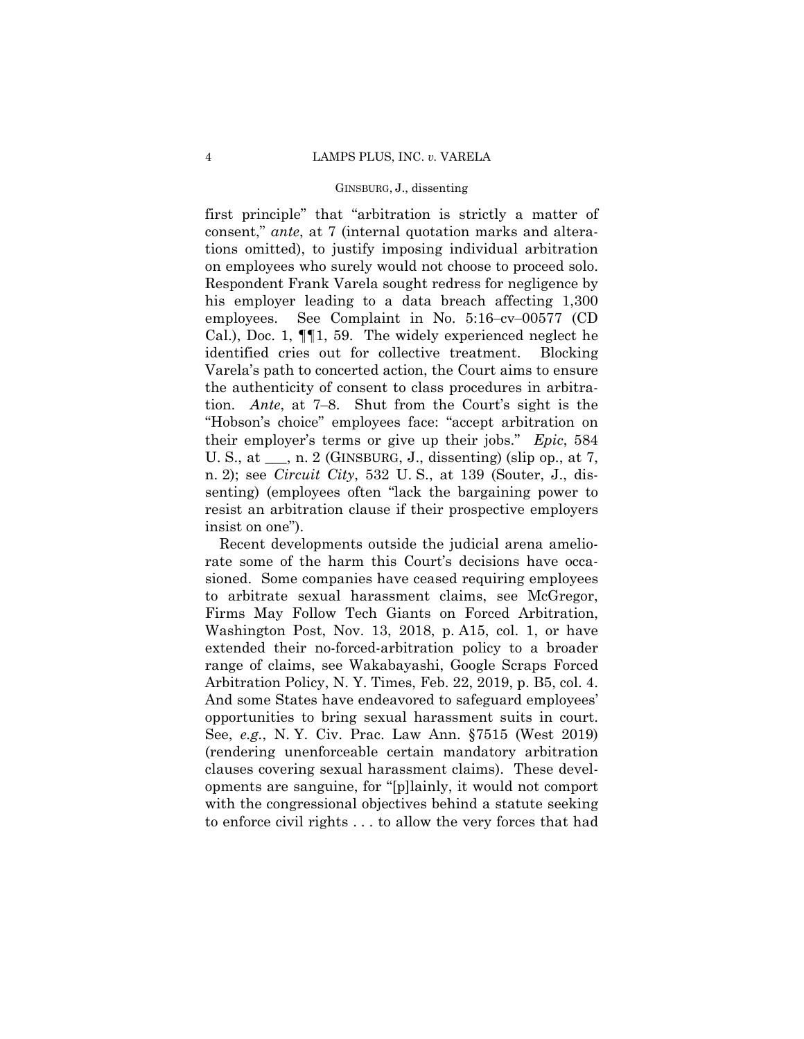first principle" that "arbitration is strictly a matter of consent," *ante*, at 7 (internal quotation marks and alterations omitted), to justify imposing individual arbitration on employees who surely would not choose to proceed solo. Respondent Frank Varela sought redress for negligence by his employer leading to a data breach affecting 1,300 employees. See Complaint in No. 5:16–cv–00577 (CD) Cal.), Doc. 1, ¶¶1, 59. The widely experienced neglect he identified cries out for collective treatment. Blocking Varela's path to concerted action, the Court aims to ensure the authenticity of consent to class procedures in arbitration. *Ante*, at 7‒8. Shut from the Court's sight is the "Hobson's choice" employees face: "accept arbitration on their employer's terms or give up their jobs." *Epic*, 584 U. S., at <sub>\_\_\_</sub>, n. 2 (GINSBURG, J., dissenting) (slip op., at 7, n. 2); see *Circuit City*, 532 U. S., at 139 (Souter, J., dissenting) (employees often "lack the bargaining power to resist an arbitration clause if their prospective employers insist on one").

 Recent developments outside the judicial arena ameliorate some of the harm this Court's decisions have occasioned. Some companies have ceased requiring employees to arbitrate sexual harassment claims, see McGregor, Firms May Follow Tech Giants on Forced Arbitration, Washington Post, Nov. 13, 2018, p. A15, col. 1, or have extended their no-forced-arbitration policy to a broader range of claims, see Wakabayashi, Google Scraps Forced Arbitration Policy, N. Y. Times, Feb. 22, 2019, p. B5, col. 4. And some States have endeavored to safeguard employees' opportunities to bring sexual harassment suits in court. See, *e.g.*, N. Y. Civ. Prac. Law Ann. §7515 (West 2019) (rendering unenforceable certain mandatory arbitration clauses covering sexual harassment claims). These developments are sanguine, for "[p]lainly, it would not comport with the congressional objectives behind a statute seeking to enforce civil rights . . . to allow the very forces that had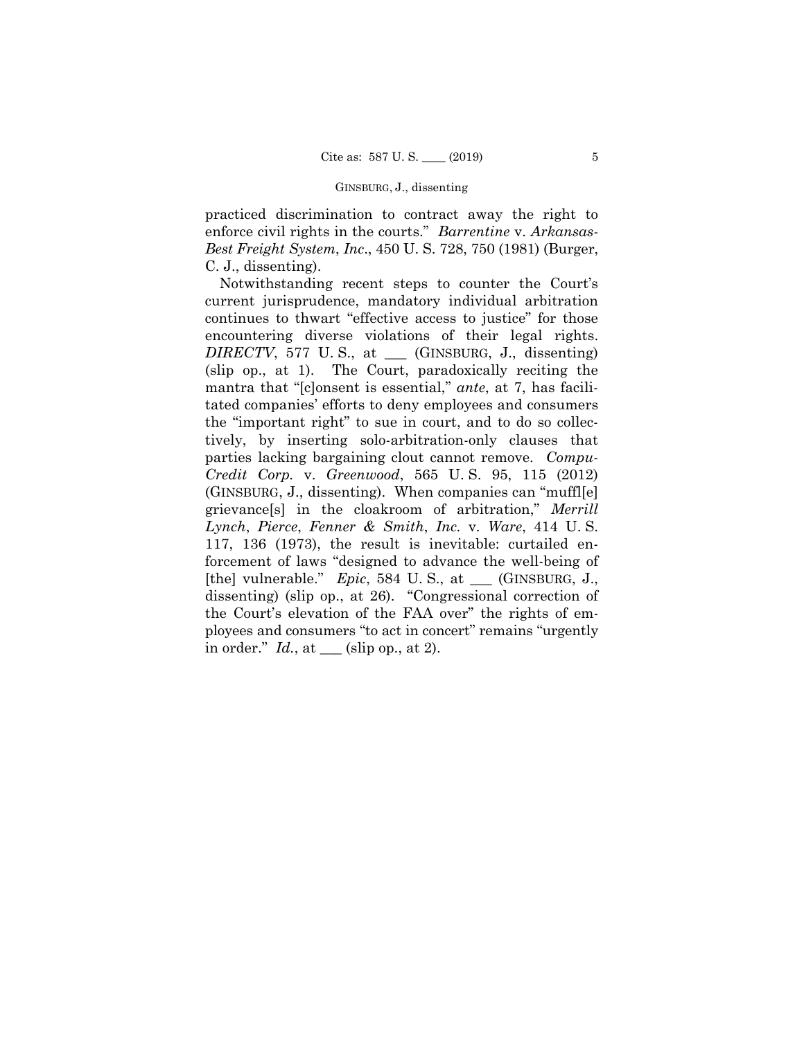practiced discrimination to contract away the right to enforce civil rights in the courts." *Barrentine* v. *Arkansas-Best Freight System*, *Inc*., 450 U. S. 728, 750 (1981) (Burger, C. J., dissenting).

Notwithstanding recent steps to counter the Court's current jurisprudence, mandatory individual arbitration continues to thwart "effective access to justice" for those encountering diverse violations of their legal rights. *DIRECTV*, 577 U. S., at \_\_\_ (GINSBURG, J., dissenting) (slip op., at 1). The Court, paradoxically reciting the mantra that "[c]onsent is essential," *ante*, at 7, has facilitated companies' efforts to deny employees and consumers the "important right" to sue in court, and to do so collectively, by inserting solo-arbitration-only clauses that parties lacking bargaining clout cannot remove. *Compu-Credit Corp.* v. *Greenwood*, 565 U. S. 95, 115 (2012) (GINSBURG, J., dissenting). When companies can "muffl[e] grievance[s] in the cloakroom of arbitration," *Merrill Lynch*, *Pierce*, *Fenner & Smith*, *Inc.* v. *Ware*, 414 U. S. 117, 136 (1973), the result is inevitable: curtailed enforcement of laws "designed to advance the well-being of [the] vulnerable." *Epic*, 584 U. S., at \_\_\_ (GINSBURG, J., dissenting) (slip op., at 26). "Congressional correction of the Court's elevation of the FAA over" the rights of employees and consumers "to act in concert" remains "urgently in order." *Id.*, at \_\_\_ (slip op., at 2).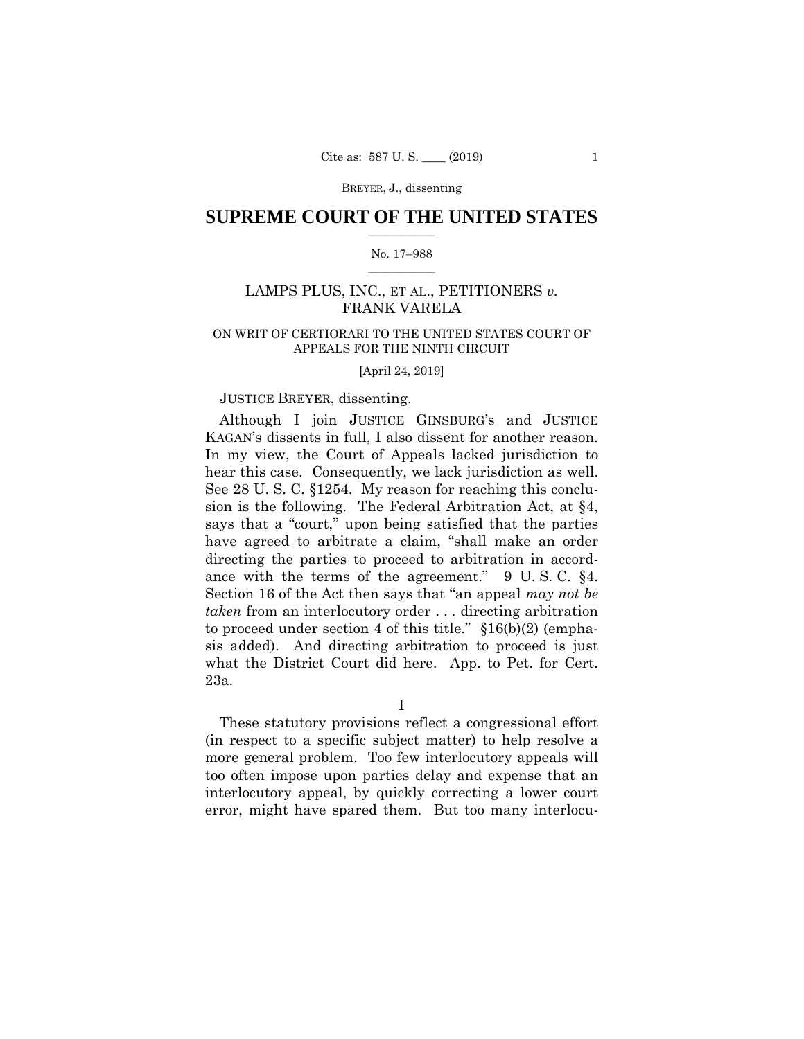## $\frac{1}{2}$  , where  $\frac{1}{2}$ **SUPREME COURT OF THE UNITED STATES**

#### $\frac{1}{2}$  ,  $\frac{1}{2}$  ,  $\frac{1}{2}$  ,  $\frac{1}{2}$  ,  $\frac{1}{2}$  ,  $\frac{1}{2}$ No. 17–988

# LAMPS PLUS, INC., ET AL., PETITIONERS *v.*  FRANK VARELA

# ON WRIT OF CERTIORARI TO THE UNITED STATES COURT OF APPEALS FOR THE NINTH CIRCUIT

#### [April 24, 2019]

## JUSTICE BREYER, dissenting.

 Although I join JUSTICE GINSBURG's and JUSTICE KAGAN's dissents in full, I also dissent for another reason. In my view, the Court of Appeals lacked jurisdiction to hear this case. Consequently, we lack jurisdiction as well. See 28 U. S. C. §1254. My reason for reaching this conclusion is the following. The Federal Arbitration Act, at §4, says that a "court," upon being satisfied that the parties have agreed to arbitrate a claim, "shall make an order directing the parties to proceed to arbitration in accordance with the terms of the agreement." 9 U. S. C. §4. Section 16 of the Act then says that "an appeal *may not be taken* from an interlocutory order . . . directing arbitration to proceed under section 4 of this title." §16(b)(2) (emphasis added). And directing arbitration to proceed is just what the District Court did here. App. to Pet. for Cert. 23a.

I

These statutory provisions reflect a congressional effort (in respect to a specific subject matter) to help resolve a more general problem. Too few interlocutory appeals will too often impose upon parties delay and expense that an interlocutory appeal, by quickly correcting a lower court error, might have spared them. But too many interlocu-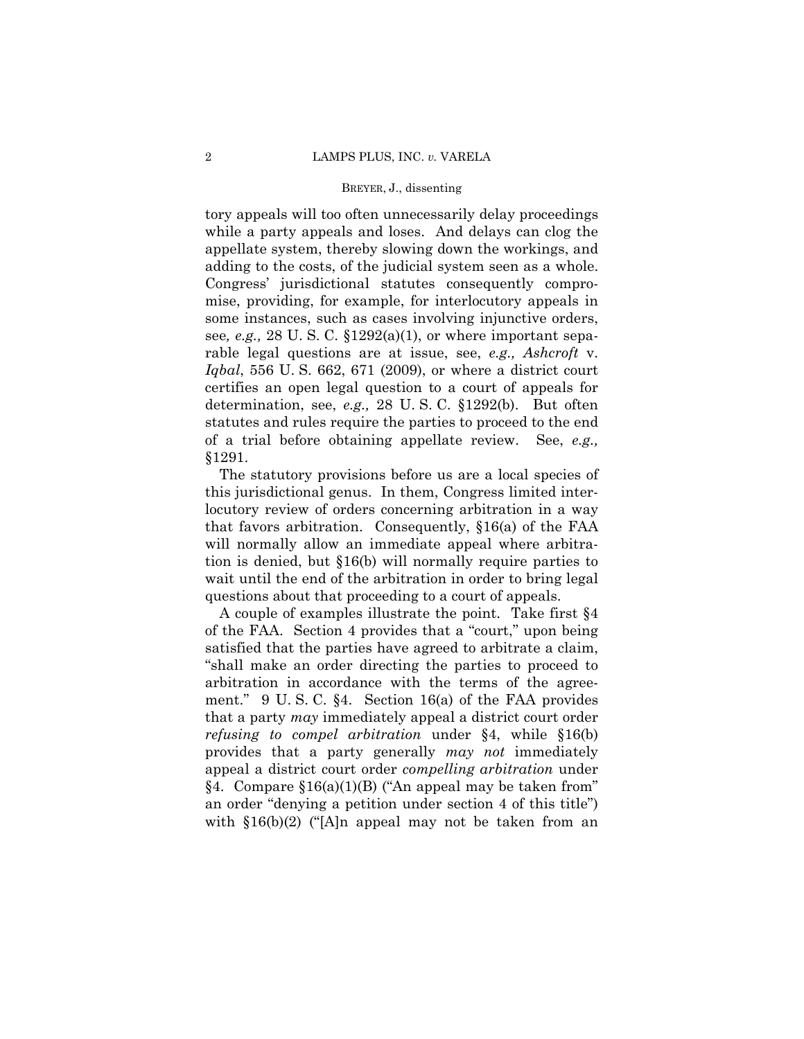tory appeals will too often unnecessarily delay proceedings while a party appeals and loses. And delays can clog the appellate system, thereby slowing down the workings, and adding to the costs, of the judicial system seen as a whole. Congress' jurisdictional statutes consequently compromise, providing, for example, for interlocutory appeals in some instances, such as cases involving injunctive orders, see*, e.g.,* 28 U. S. C. §1292(a)(1), or where important separable legal questions are at issue, see, *e.g., Ashcroft* v. *Iqbal*, 556 U. S. 662, 671 (2009), or where a district court certifies an open legal question to a court of appeals for determination, see, *e.g.,* 28 U. S. C. §1292(b). But often statutes and rules require the parties to proceed to the end of a trial before obtaining appellate review. See, *e.g.,* §1291.

The statutory provisions before us are a local species of this jurisdictional genus. In them, Congress limited interlocutory review of orders concerning arbitration in a way that favors arbitration. Consequently, §16(a) of the FAA will normally allow an immediate appeal where arbitration is denied, but §16(b) will normally require parties to wait until the end of the arbitration in order to bring legal questions about that proceeding to a court of appeals.

A couple of examples illustrate the point. Take first §4 of the FAA. Section 4 provides that a "court," upon being satisfied that the parties have agreed to arbitrate a claim, "shall make an order directing the parties to proceed to arbitration in accordance with the terms of the agreement." 9 U. S. C. §4. Section 16(a) of the FAA provides that a party *may* immediately appeal a district court order *refusing to compel arbitration* under §4, while §16(b) provides that a party generally *may not* immediately appeal a district court order *compelling arbitration* under §4. Compare §16(a)(1)(B) ("An appeal may be taken from" an order "denying a petition under section 4 of this title") with  $$16(b)(2)$  ('A]n appeal may not be taken from an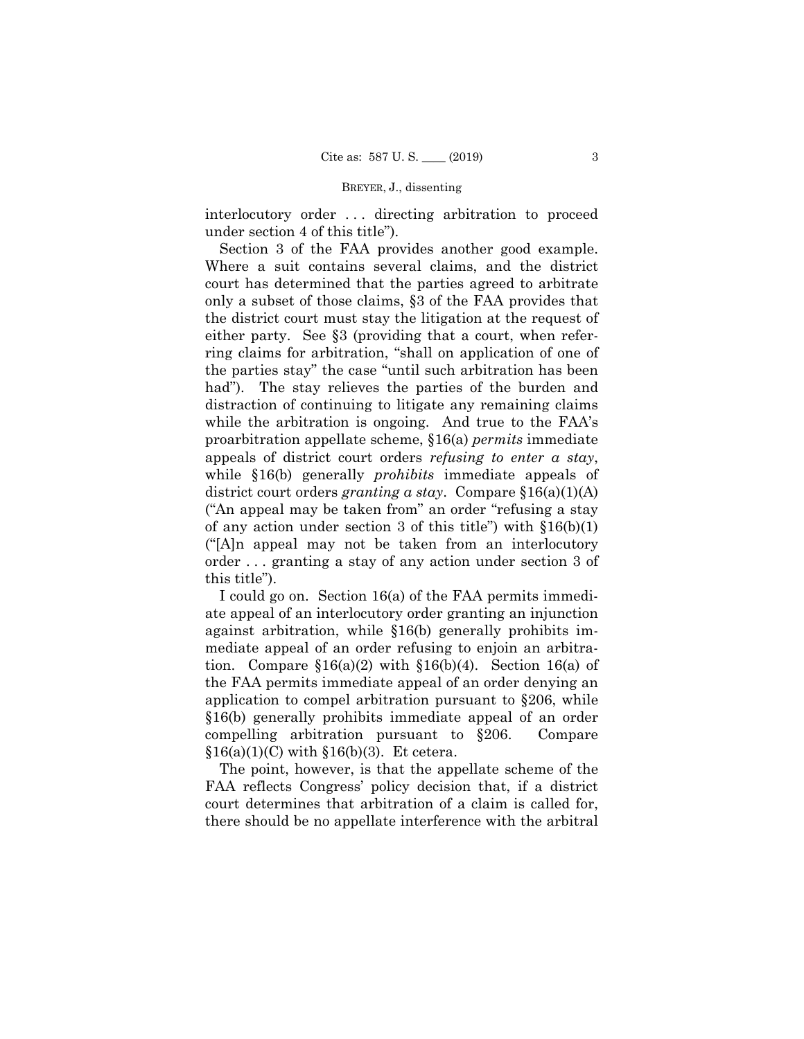interlocutory order . . . directing arbitration to proceed under section 4 of this title").

Section 3 of the FAA provides another good example. Where a suit contains several claims, and the district court has determined that the parties agreed to arbitrate only a subset of those claims, §3 of the FAA provides that the district court must stay the litigation at the request of either party. See §3 (providing that a court, when referring claims for arbitration, "shall on application of one of the parties stay" the case "until such arbitration has been had"). The stay relieves the parties of the burden and distraction of continuing to litigate any remaining claims while the arbitration is ongoing. And true to the FAA's proarbitration appellate scheme, §16(a) *permits* immediate appeals of district court orders *refusing to enter a stay*, while §16(b) generally *prohibits* immediate appeals of district court orders *granting a stay*. Compare §16(a)(1)(A) ("An appeal may be taken from" an order "refusing a stay of any action under section 3 of this title") with  $$16(b)(1)$ ("[A]n appeal may not be taken from an interlocutory order . . . granting a stay of any action under section 3 of this title").

I could go on. Section 16(a) of the FAA permits immediate appeal of an interlocutory order granting an injunction against arbitration, while §16(b) generally prohibits immediate appeal of an order refusing to enjoin an arbitration. Compare  $$16(a)(2)$  with  $$16(b)(4)$ . Section 16(a) of the FAA permits immediate appeal of an order denying an application to compel arbitration pursuant to §206, while §16(b) generally prohibits immediate appeal of an order compelling arbitration pursuant to §206. Compare  $$16(a)(1)(C)$  with  $$16(b)(3)$ . Et cetera.

The point, however, is that the appellate scheme of the FAA reflects Congress' policy decision that, if a district court determines that arbitration of a claim is called for, there should be no appellate interference with the arbitral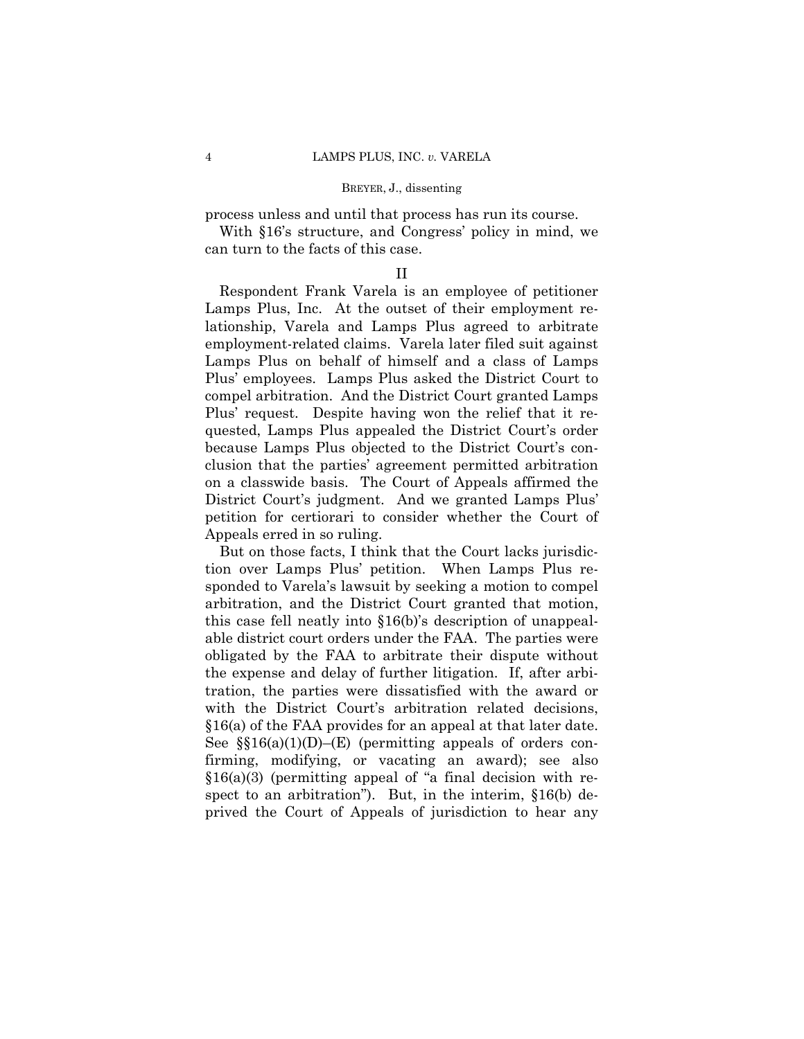process unless and until that process has run its course.

With §16's structure, and Congress' policy in mind, we can turn to the facts of this case.

## II

Respondent Frank Varela is an employee of petitioner Lamps Plus, Inc. At the outset of their employment relationship, Varela and Lamps Plus agreed to arbitrate employment-related claims. Varela later filed suit against Lamps Plus on behalf of himself and a class of Lamps Plus' employees. Lamps Plus asked the District Court to compel arbitration. And the District Court granted Lamps Plus' request. Despite having won the relief that it requested, Lamps Plus appealed the District Court's order because Lamps Plus objected to the District Court's conclusion that the parties' agreement permitted arbitration on a classwide basis. The Court of Appeals affirmed the District Court's judgment. And we granted Lamps Plus' petition for certiorari to consider whether the Court of Appeals erred in so ruling.

But on those facts, I think that the Court lacks jurisdiction over Lamps Plus' petition. When Lamps Plus responded to Varela's lawsuit by seeking a motion to compel arbitration, and the District Court granted that motion, this case fell neatly into §16(b)'s description of unappealable district court orders under the FAA. The parties were obligated by the FAA to arbitrate their dispute without the expense and delay of further litigation. If, after arbitration, the parties were dissatisfied with the award or with the District Court's arbitration related decisions, §16(a) of the FAA provides for an appeal at that later date. See  $\S(16(a)(1)(D)$ –(E) (permitting appeals of orders confirming, modifying, or vacating an award); see also  $$16(a)(3)$  (permitting appeal of "a final decision with respect to an arbitration"). But, in the interim, §16(b) deprived the Court of Appeals of jurisdiction to hear any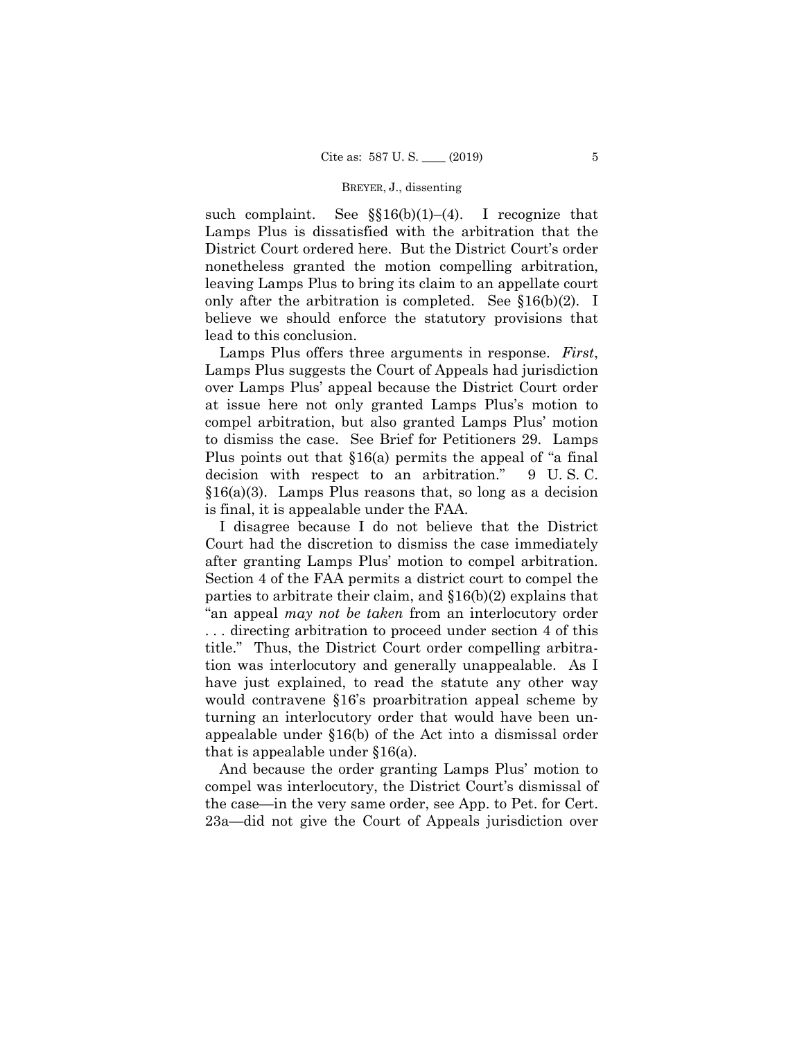such complaint. See  $\S(16(b)(1)-(4))$ . I recognize that Lamps Plus is dissatisfied with the arbitration that the District Court ordered here. But the District Court's order nonetheless granted the motion compelling arbitration, leaving Lamps Plus to bring its claim to an appellate court only after the arbitration is completed. See §16(b)(2). I believe we should enforce the statutory provisions that lead to this conclusion.

Lamps Plus offers three arguments in response. *First*, Lamps Plus suggests the Court of Appeals had jurisdiction over Lamps Plus' appeal because the District Court order at issue here not only granted Lamps Plus's motion to compel arbitration, but also granted Lamps Plus' motion to dismiss the case. See Brief for Petitioners 29. Lamps Plus points out that §16(a) permits the appeal of "a final decision with respect to an arbitration." 9 U. S. C.  $§16(a)(3)$ . Lamps Plus reasons that, so long as a decision is final, it is appealable under the FAA.

I disagree because I do not believe that the District Court had the discretion to dismiss the case immediately after granting Lamps Plus' motion to compel arbitration. Section 4 of the FAA permits a district court to compel the parties to arbitrate their claim, and §16(b)(2) explains that "an appeal *may not be taken* from an interlocutory order . . . directing arbitration to proceed under section 4 of this title." Thus, the District Court order compelling arbitration was interlocutory and generally unappealable. As I have just explained, to read the statute any other way would contravene §16's proarbitration appeal scheme by turning an interlocutory order that would have been unappealable under §16(b) of the Act into a dismissal order that is appealable under §16(a).

And because the order granting Lamps Plus' motion to compel was interlocutory, the District Court's dismissal of the case—in the very same order, see App. to Pet. for Cert. 23a—did not give the Court of Appeals jurisdiction over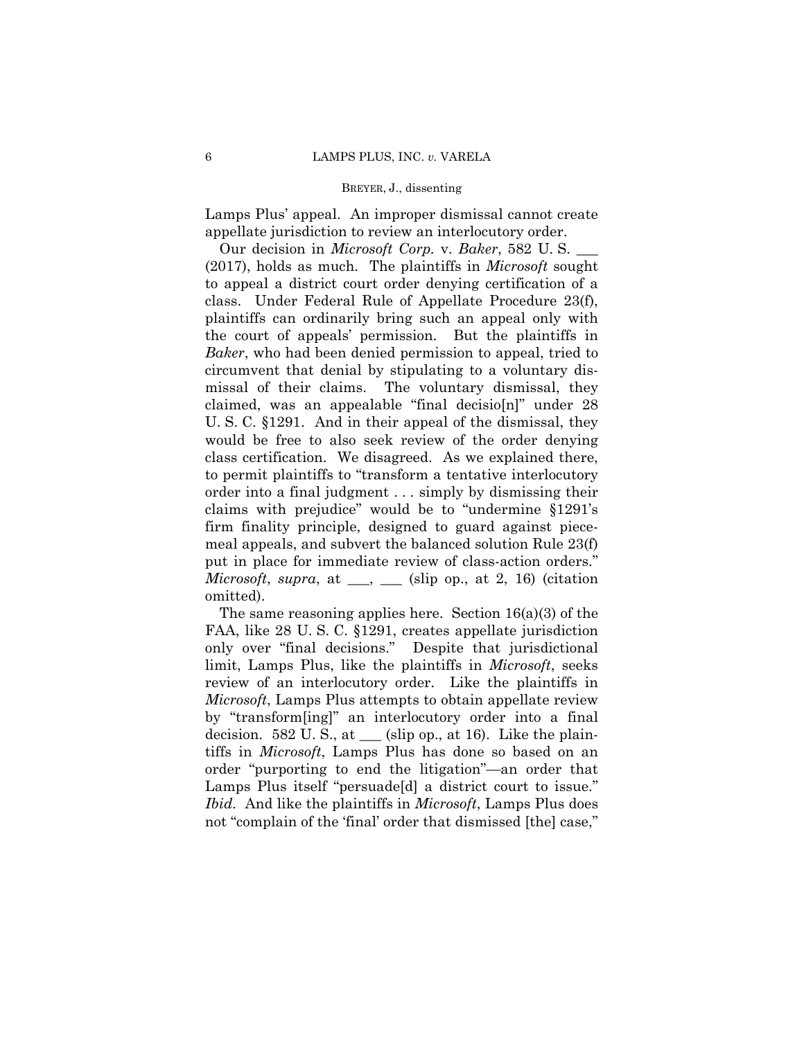Lamps Plus' appeal. An improper dismissal cannot create appellate jurisdiction to review an interlocutory order.

 Our decision in *Microsoft Corp.* v. *Baker*, 582 U. S. \_\_\_ (2017), holds as much. The plaintiffs in *Microsoft* sought to appeal a district court order denying certification of a class. Under Federal Rule of Appellate Procedure 23(f), plaintiffs can ordinarily bring such an appeal only with the court of appeals' permission. But the plaintiffs in *Baker*, who had been denied permission to appeal, tried to circumvent that denial by stipulating to a voluntary dismissal of their claims. The voluntary dismissal, they claimed, was an appealable "final decisio[n]" under 28 U. S. C. §1291. And in their appeal of the dismissal, they would be free to also seek review of the order denying class certification. We disagreed. As we explained there, to permit plaintiffs to "transform a tentative interlocutory order into a final judgment . . . simply by dismissing their claims with prejudice" would be to "undermine §1291's firm finality principle, designed to guard against piecemeal appeals, and subvert the balanced solution Rule 23(f) put in place for immediate review of class-action orders." *Microsoft*, *supra*, at  $\_\_\_\_$  (slip op., at 2, 16) (citation omitted).

The same reasoning applies here. Section  $16(a)(3)$  of the FAA, like 28 U. S. C. §1291, creates appellate jurisdiction only over "final decisions." Despite that jurisdictional limit, Lamps Plus, like the plaintiffs in *Microsoft*, seeks review of an interlocutory order. Like the plaintiffs in *Microsoft*, Lamps Plus attempts to obtain appellate review by "transform[ing]" an interlocutory order into a final decision. 582 U.S., at  $\_\_$  (slip op., at 16). Like the plaintiffs in *Microsoft*, Lamps Plus has done so based on an order "purporting to end the litigation"—an order that Lamps Plus itself "persuade[d] a district court to issue." *Ibid.* And like the plaintiffs in *Microsoft*, Lamps Plus does not "complain of the 'final' order that dismissed [the] case,"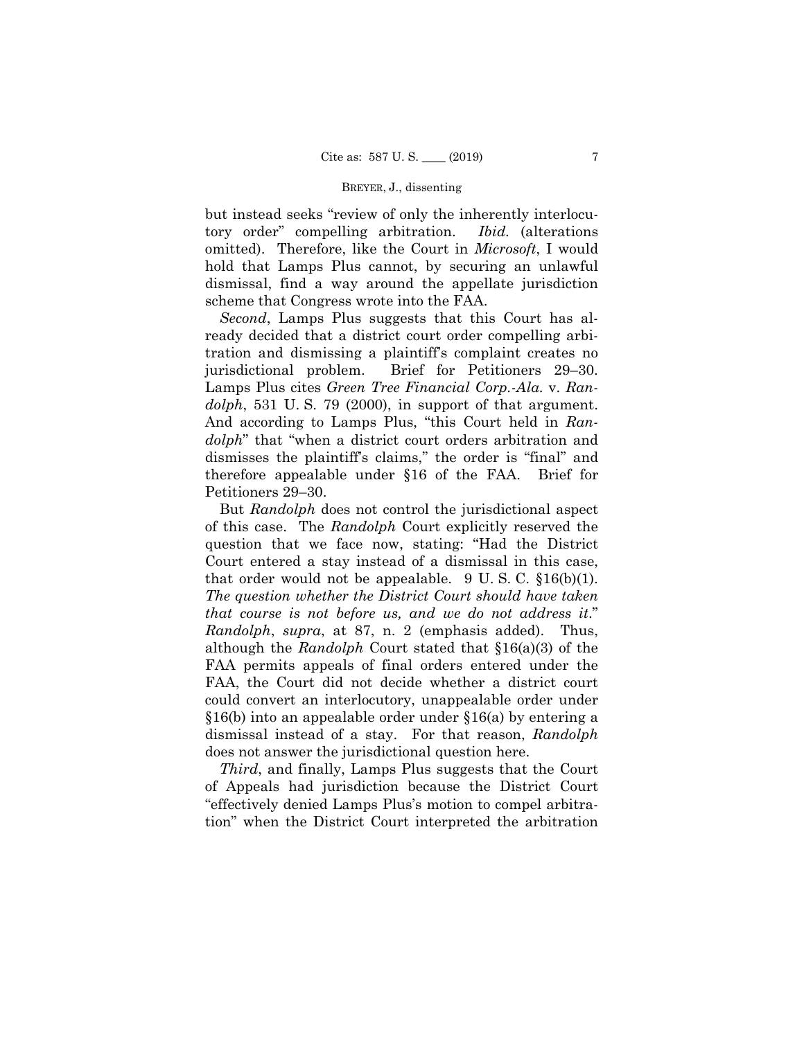omitted). Therefore, like the Court in *Microsoft*, I would but instead seeks "review of only the inherently interlocutory order" compelling arbitration. *Ibid.* (alterations hold that Lamps Plus cannot, by securing an unlawful dismissal, find a way around the appellate jurisdiction scheme that Congress wrote into the FAA.

*Second*, Lamps Plus suggests that this Court has already decided that a district court order compelling arbitration and dismissing a plaintiff's complaint creates no jurisdictional problem. Brief for Petitioners 29–30. Lamps Plus cites *Green Tree Financial Corp.-Ala.* v. *Randolph*, 531 U. S. 79 (2000), in support of that argument. And according to Lamps Plus, "this Court held in *Randolph*" that "when a district court orders arbitration and dismisses the plaintiff's claims," the order is "final" and therefore appealable under §16 of the FAA. Brief for Petitioners 29–30.

that order would not be appealable.  $9 \text{ U.S. C. }$  \$16(b)(1). §16(b) into an appealable order under §16(a) by entering a But *Randolph* does not control the jurisdictional aspect of this case. The *Randolph* Court explicitly reserved the question that we face now, stating: "Had the District Court entered a stay instead of a dismissal in this case, *The question whether the District Court should have taken that course is not before us, and we do not address it*." *Randolph*, *supra*, at 87, n. 2 (emphasis added). Thus, although the *Randolph* Court stated that §16(a)(3) of the FAA permits appeals of final orders entered under the FAA, the Court did not decide whether a district court could convert an interlocutory, unappealable order under dismissal instead of a stay. For that reason, *Randolph* does not answer the jurisdictional question here.

*Third*, and finally, Lamps Plus suggests that the Court of Appeals had jurisdiction because the District Court "effectively denied Lamps Plus's motion to compel arbitration" when the District Court interpreted the arbitration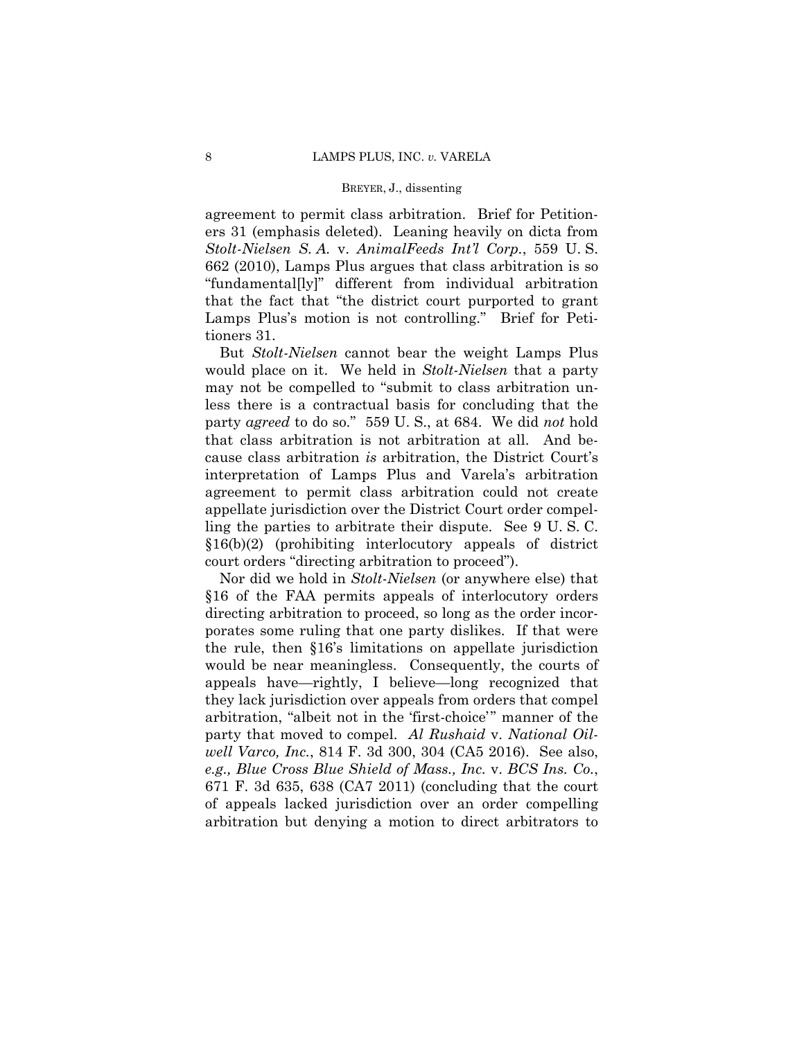agreement to permit class arbitration. Brief for Petitioners 31 (emphasis deleted). Leaning heavily on dicta from *Stolt-Nielsen S. A.* v. *AnimalFeeds Int'l Corp.*, 559 U. S. 662 (2010), Lamps Plus argues that class arbitration is so "fundamental[ly]" different from individual arbitration that the fact that "the district court purported to grant Lamps Plus's motion is not controlling." Brief for Petitioners 31.

 But *Stolt-Nielsen* cannot bear the weight Lamps Plus would place on it. We held in *Stolt-Nielsen* that a party may not be compelled to "submit to class arbitration unless there is a contractual basis for concluding that the party *agreed* to do so." 559 U. S., at 684. We did *not* hold that class arbitration is not arbitration at all. And because class arbitration *is* arbitration, the District Court's interpretation of Lamps Plus and Varela's arbitration agreement to permit class arbitration could not create appellate jurisdiction over the District Court order compelling the parties to arbitrate their dispute. See 9 U. S. C. §16(b)(2) (prohibiting interlocutory appeals of district court orders "directing arbitration to proceed").

Nor did we hold in *Stolt-Nielsen* (or anywhere else) that §16 of the FAA permits appeals of interlocutory orders directing arbitration to proceed, so long as the order incorporates some ruling that one party dislikes. If that were the rule, then §16's limitations on appellate jurisdiction would be near meaningless. Consequently, the courts of appeals have—rightly, I believe—long recognized that they lack jurisdiction over appeals from orders that compel arbitration, "albeit not in the 'first-choice'" manner of the party that moved to compel. *Al Rushaid* v. *National Oilwell Varco, Inc.*, 814 F. 3d 300, 304 (CA5 2016). See also, *e.g., Blue Cross Blue Shield of Mass., Inc.* v. *BCS Ins. Co.*, 671 F. 3d 635, 638 (CA7 2011) (concluding that the court of appeals lacked jurisdiction over an order compelling arbitration but denying a motion to direct arbitrators to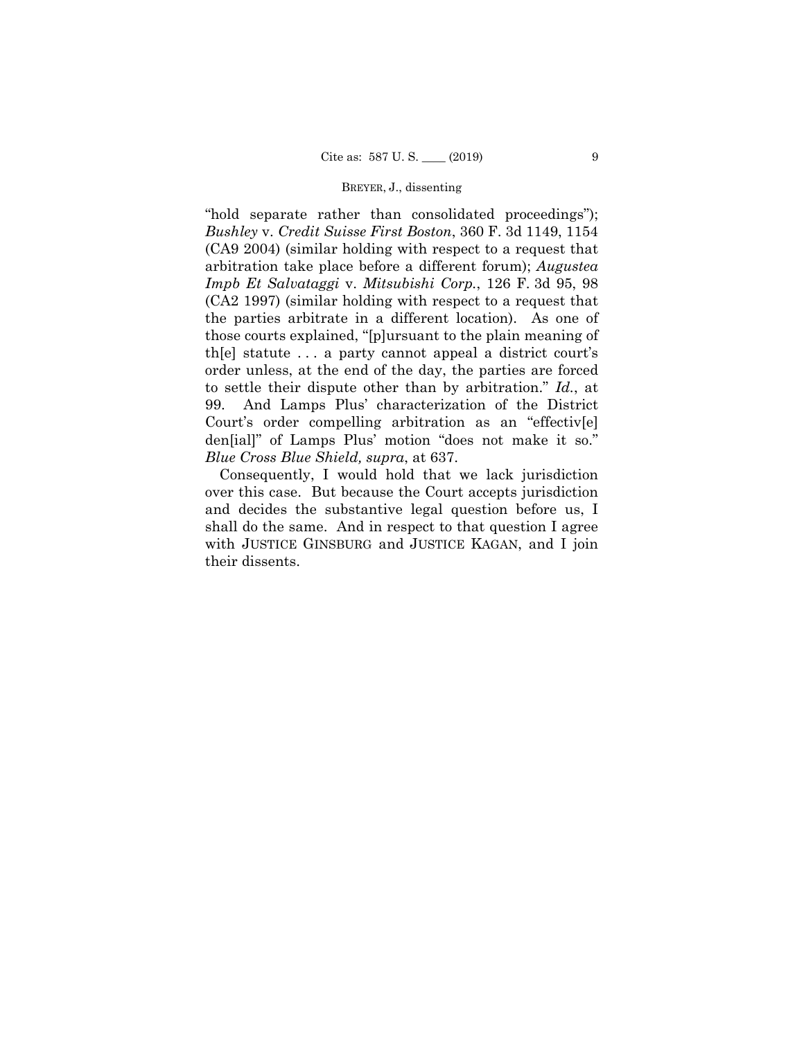"hold separate rather than consolidated proceedings"); *Bushley* v. *Credit Suisse First Boston*, 360 F. 3d 1149, 1154 (CA9 2004) (similar holding with respect to a request that arbitration take place before a different forum); *Augustea Impb Et Salvataggi* v. *Mitsubishi Corp.*, 126 F. 3d 95, 98 (CA2 1997) (similar holding with respect to a request that the parties arbitrate in a different location). As one of those courts explained, "[p]ursuant to the plain meaning of th[e] statute . . . a party cannot appeal a district court's order unless, at the end of the day, the parties are forced to settle their dispute other than by arbitration." *Id.*, at 99. And Lamps Plus' characterization of the District Court's order compelling arbitration as an "effectiv[e] den[ial]" of Lamps Plus' motion "does not make it so." *Blue Cross Blue Shield, supra*, at 637.

Consequently, I would hold that we lack jurisdiction over this case. But because the Court accepts jurisdiction and decides the substantive legal question before us, I shall do the same. And in respect to that question I agree with JUSTICE GINSBURG and JUSTICE KAGAN, and I join their dissents.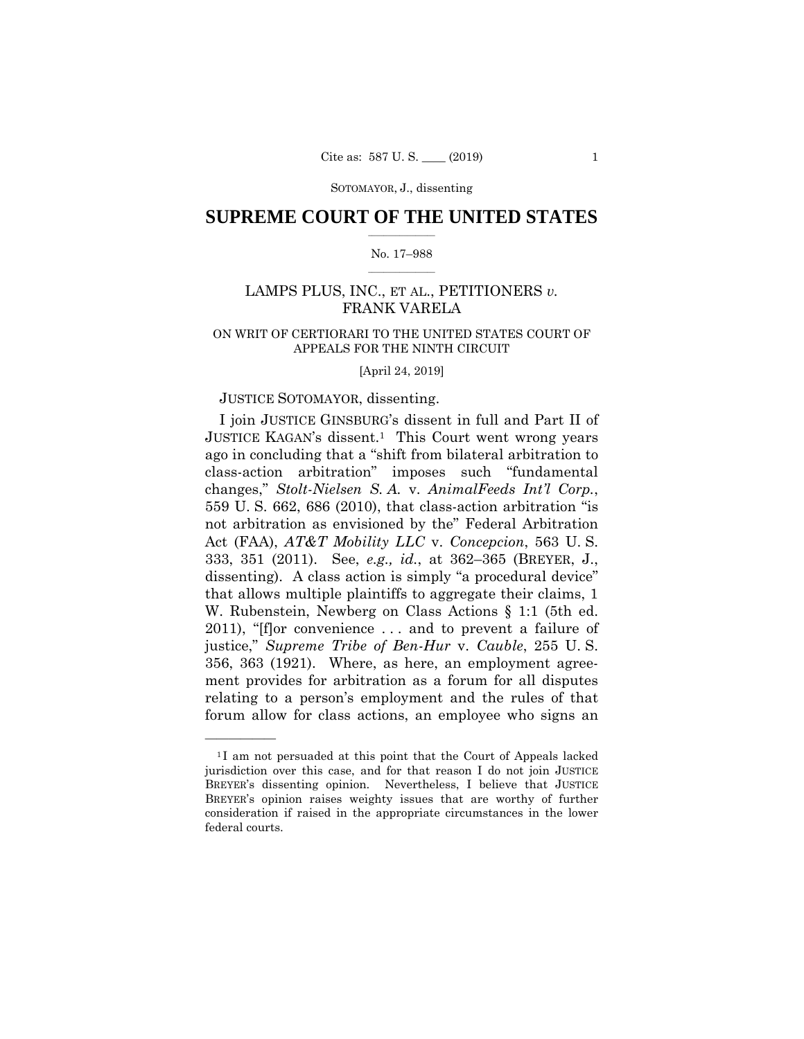SOTOMAYOR, J., dissenting

## $\frac{1}{2}$  , where  $\frac{1}{2}$ **SUPREME COURT OF THE UNITED STATES**

#### $\frac{1}{2}$  ,  $\frac{1}{2}$  ,  $\frac{1}{2}$  ,  $\frac{1}{2}$  ,  $\frac{1}{2}$  ,  $\frac{1}{2}$ No. 17–988

# LAMPS PLUS, INC., ET AL., PETITIONERS *v.*  FRANK VARELA

# ON WRIT OF CERTIORARI TO THE UNITED STATES COURT OF APPEALS FOR THE NINTH CIRCUIT

[April 24, 2019]

## JUSTICE SOTOMAYOR, dissenting.

——————

I join JUSTICE GINSBURG's dissent in full and Part II of JUSTICE KAGAN's dissent.1 This Court went wrong years ago in concluding that a "shift from bilateral arbitration to class-action arbitration" imposes such "fundamental changes," *Stolt-Nielsen S. A.* v. *AnimalFeeds Int'l Corp.*, 559 U. S. 662, 686 (2010), that class-action arbitration "is not arbitration as envisioned by the" Federal Arbitration Act (FAA), *AT&T Mobility LLC* v. *Concepcion*, 563 U. S. 333, 351 (2011). See, *e.g., id.*, at 362–365 (BREYER, J., dissenting). A class action is simply "a procedural device" that allows multiple plaintiffs to aggregate their claims, 1 W. Rubenstein, Newberg on Class Actions § 1:1 (5th ed. 2011), "[f]or convenience . . . and to prevent a failure of justice," *Supreme Tribe of Ben-Hur* v. *Cauble*, 255 U. S. 356, 363 (1921). Where, as here, an employment agreement provides for arbitration as a forum for all disputes relating to a person's employment and the rules of that forum allow for class actions, an employee who signs an

<sup>&</sup>lt;sup>1</sup>I am not persuaded at this point that the Court of Appeals lacked jurisdiction over this case, and for that reason I do not join JUSTICE BREYER's dissenting opinion. Nevertheless, I believe that JUSTICE BREYER's opinion raises weighty issues that are worthy of further consideration if raised in the appropriate circumstances in the lower federal courts.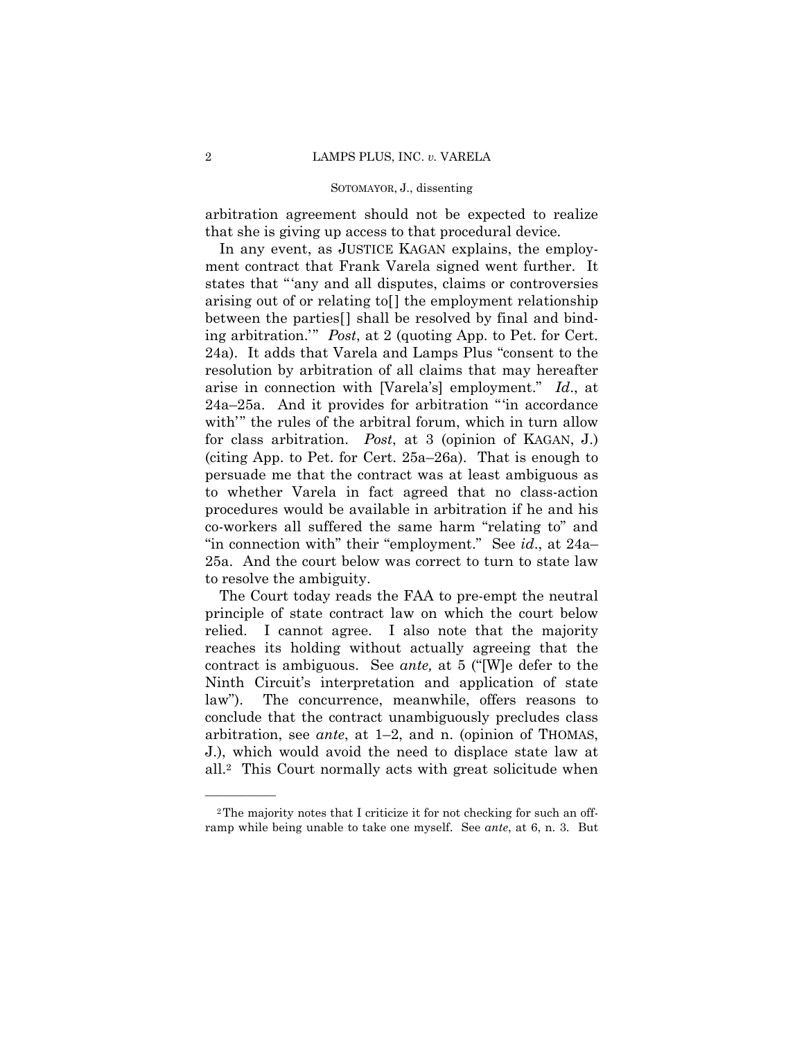#### SOTOMAYOR, J., dissenting

arbitration agreement should not be expected to realize that she is giving up access to that procedural device.

In any event, as JUSTICE KAGAN explains, the employment contract that Frank Varela signed went further. It states that "'any and all disputes, claims or controversies arising out of or relating to[] the employment relationship between the parties[] shall be resolved by final and binding arbitration.'" *Post*, at 2 (quoting App. to Pet. for Cert. 24a). It adds that Varela and Lamps Plus "consent to the resolution by arbitration of all claims that may hereafter arise in connection with [Varela's] employment." *Id*., at 24a–25a. And it provides for arbitration "'in accordance with'" the rules of the arbitral forum, which in turn allow for class arbitration. *Post*, at 3 (opinion of KAGAN, J.) (citing App. to Pet. for Cert. 25a–26a). That is enough to persuade me that the contract was at least ambiguous as to whether Varela in fact agreed that no class-action procedures would be available in arbitration if he and his co-workers all suffered the same harm "relating to" and "in connection with" their "employment." See *id*., at 24a– 25a. And the court below was correct to turn to state law to resolve the ambiguity.

 law"). The concurrence, meanwhile, offers reasons to conclude that the contract unambiguously precludes class The Court today reads the FAA to pre-empt the neutral principle of state contract law on which the court below relied. I cannot agree. I also note that the majority reaches its holding without actually agreeing that the contract is ambiguous. See *ante,* at 5 ("[W]e defer to the Ninth Circuit's interpretation and application of state arbitration, see *ante*, at 1–2, and n. (opinion of THOMAS, J.), which would avoid the need to displace state law at all.2 This Court normally acts with great solicitude when

<sup>2</sup>The majority notes that I criticize it for not checking for such an offramp while being unable to take one myself. See *ante*, at 6, n. 3. But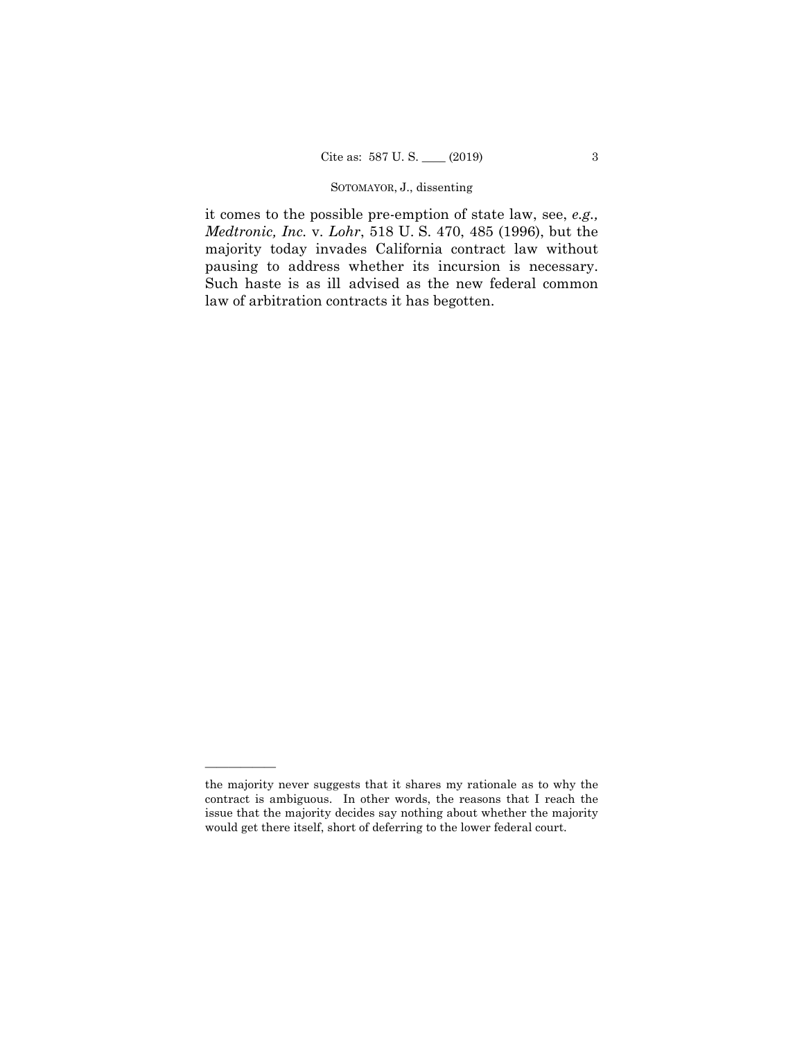# SOTOMAYOR, J., dissenting

it comes to the possible pre-emption of state law, see, *e.g., Medtronic, Inc.* v. *Lohr*, 518 U. S. 470, 485 (1996), but the majority today invades California contract law without pausing to address whether its incursion is necessary. Such haste is as ill advised as the new federal common law of arbitration contracts it has begotten.

the majority never suggests that it shares my rationale as to why the contract is ambiguous. In other words, the reasons that I reach the issue that the majority decides say nothing about whether the majority would get there itself, short of deferring to the lower federal court.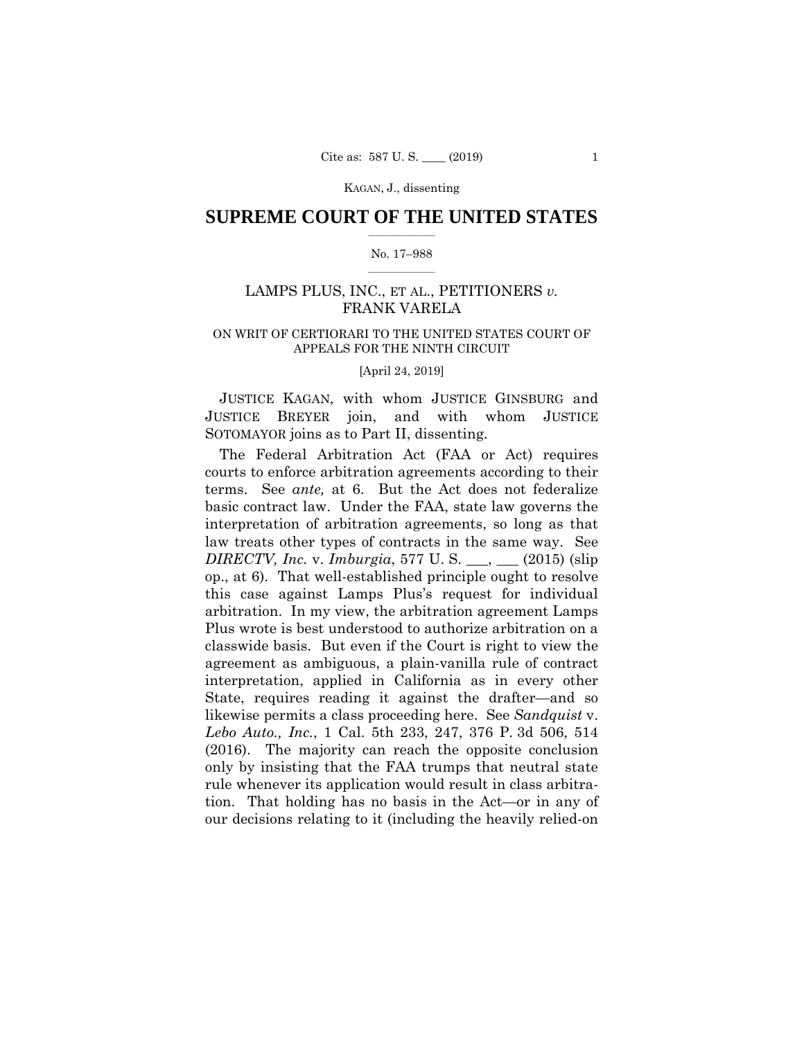## $\frac{1}{2}$  , where  $\frac{1}{2}$ **SUPREME COURT OF THE UNITED STATES**

#### $\frac{1}{2}$  ,  $\frac{1}{2}$  ,  $\frac{1}{2}$  ,  $\frac{1}{2}$  ,  $\frac{1}{2}$  ,  $\frac{1}{2}$ No. 17–988

# LAMPS PLUS, INC., ET AL., PETITIONERS *v.*  FRANK VARELA

# ON WRIT OF CERTIORARI TO THE UNITED STATES COURT OF APPEALS FOR THE NINTH CIRCUIT

#### [April 24, 2019]

JUSTICE KAGAN, with whom JUSTICE GINSBURG and JUSTICE BREYER join, and with whom JUSTICE SOTOMAYOR joins as to Part II, dissenting.

The Federal Arbitration Act (FAA or Act) requires courts to enforce arbitration agreements according to their terms. See *ante,* at 6. But the Act does not federalize basic contract law. Under the FAA, state law governs the interpretation of arbitration agreements, so long as that law treats other types of contracts in the same way. See *DIRECTV, Inc.* v. *Imburgia*, 577 U. S. \_\_\_, \_\_\_ (2015) (slip op., at 6). That well-established principle ought to resolve this case against Lamps Plus's request for individual arbitration. In my view, the arbitration agreement Lamps Plus wrote is best understood to authorize arbitration on a classwide basis. But even if the Court is right to view the agreement as ambiguous, a plain-vanilla rule of contract interpretation, applied in California as in every other State, requires reading it against the drafter—and so likewise permits a class proceeding here. See *Sandquist* v. *Lebo Auto., Inc.*, 1 Cal. 5th 233, 247, 376 P. 3d 506, 514 (2016). The majority can reach the opposite conclusion only by insisting that the FAA trumps that neutral state rule whenever its application would result in class arbitration. That holding has no basis in the Act—or in any of our decisions relating to it (including the heavily relied-on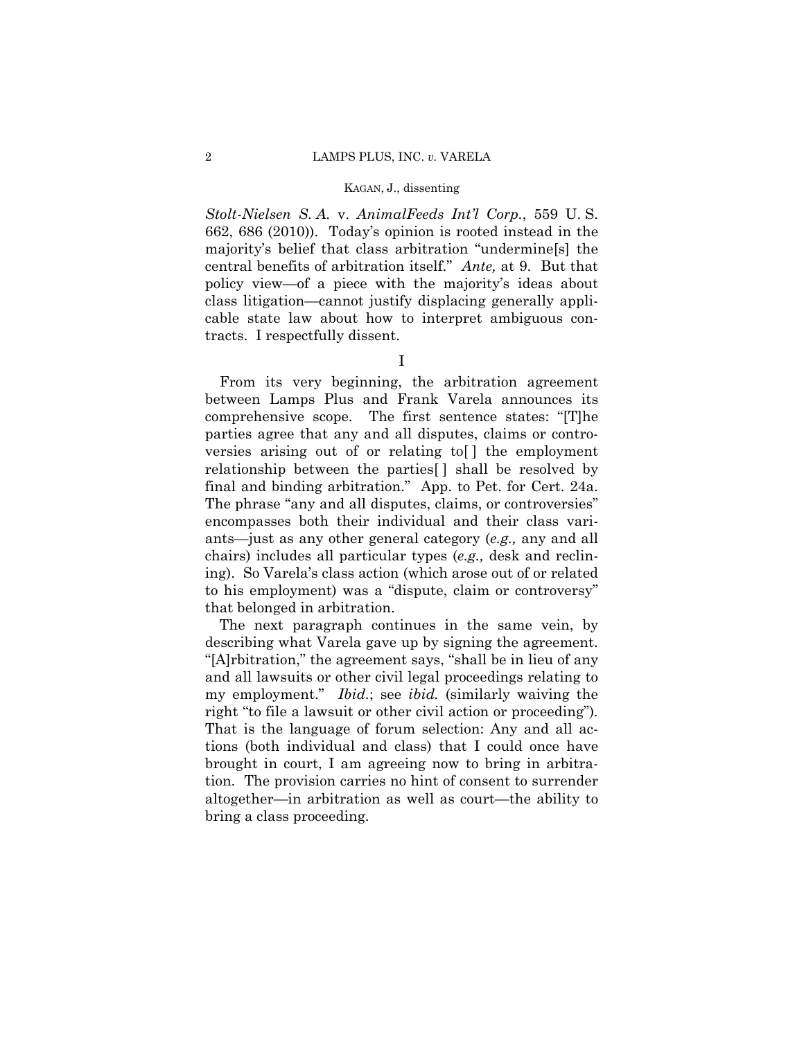*Stolt-Nielsen S. A.* v. *AnimalFeeds Int'l Corp.*, 559 U. S. 662, 686 (2010)). Today's opinion is rooted instead in the majority's belief that class arbitration "undermine[s] the central benefits of arbitration itself." *Ante,* at 9. But that policy view—of a piece with the majority's ideas about class litigation—cannot justify displacing generally applicable state law about how to interpret ambiguous contracts. I respectfully dissent.

I

 final and binding arbitration." App. to Pet. for Cert. 24a. From its very beginning, the arbitration agreement between Lamps Plus and Frank Varela announces its comprehensive scope. The first sentence states: "[T]he parties agree that any and all disputes, claims or controversies arising out of or relating to[ ] the employment relationship between the parties[ ] shall be resolved by The phrase "any and all disputes, claims, or controversies" encompasses both their individual and their class variants—just as any other general category (*e.g.,* any and all chairs) includes all particular types (*e.g.,* desk and reclining). So Varela's class action (which arose out of or related to his employment) was a "dispute, claim or controversy" that belonged in arbitration.

The next paragraph continues in the same vein, by describing what Varela gave up by signing the agreement. "[A]rbitration," the agreement says, "shall be in lieu of any and all lawsuits or other civil legal proceedings relating to my employment." *Ibid.*; see *ibid.* (similarly waiving the right "to file a lawsuit or other civil action or proceeding")*.*  That is the language of forum selection: Any and all actions (both individual and class) that I could once have brought in court, I am agreeing now to bring in arbitration. The provision carries no hint of consent to surrender altogether—in arbitration as well as court—the ability to bring a class proceeding.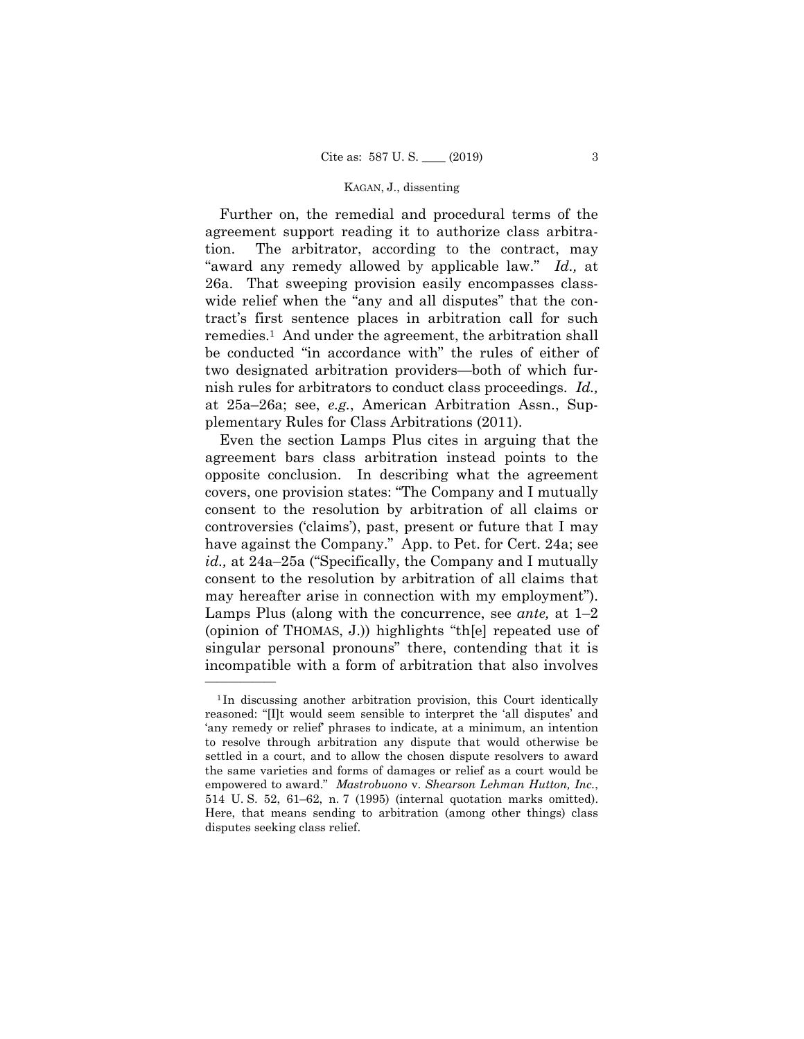Further on, the remedial and procedural terms of the agreement support reading it to authorize class arbitration. The arbitrator, according to the contract, may "award any remedy allowed by applicable law." *Id.,* at 26a. That sweeping provision easily encompasses classwide relief when the "any and all disputes" that the contract's first sentence places in arbitration call for such remedies.1 And under the agreement, the arbitration shall be conducted "in accordance with" the rules of either of two designated arbitration providers—both of which furnish rules for arbitrators to conduct class proceedings. *Id.,*  at 25a–26a; see, *e.g.*, American Arbitration Assn., Supplementary Rules for Class Arbitrations (2011).

Even the section Lamps Plus cites in arguing that the agreement bars class arbitration instead points to the opposite conclusion. In describing what the agreement covers, one provision states: "The Company and I mutually consent to the resolution by arbitration of all claims or controversies ('claims'), past, present or future that I may have against the Company." App. to Pet. for Cert. 24a; see *id.,* at 24a–25a ("Specifically, the Company and I mutually consent to the resolution by arbitration of all claims that may hereafter arise in connection with my employment"). Lamps Plus (along with the concurrence, see *ante,* at 1–2 (opinion of THOMAS, J.)) highlights "th[e] repeated use of singular personal pronouns" there, contending that it is incompatible with a form of arbitration that also involves

<sup>&</sup>lt;sup>1</sup>In discussing another arbitration provision, this Court identically reasoned: "[I]t would seem sensible to interpret the 'all disputes' and 'any remedy or relief' phrases to indicate, at a minimum, an intention to resolve through arbitration any dispute that would otherwise be settled in a court, and to allow the chosen dispute resolvers to award the same varieties and forms of damages or relief as a court would be empowered to award." *Mastrobuono* v. *Shearson Lehman Hutton, Inc.*, 514 U. S. 52, 61–62, n. 7 (1995) (internal quotation marks omitted). Here, that means sending to arbitration (among other things) class disputes seeking class relief.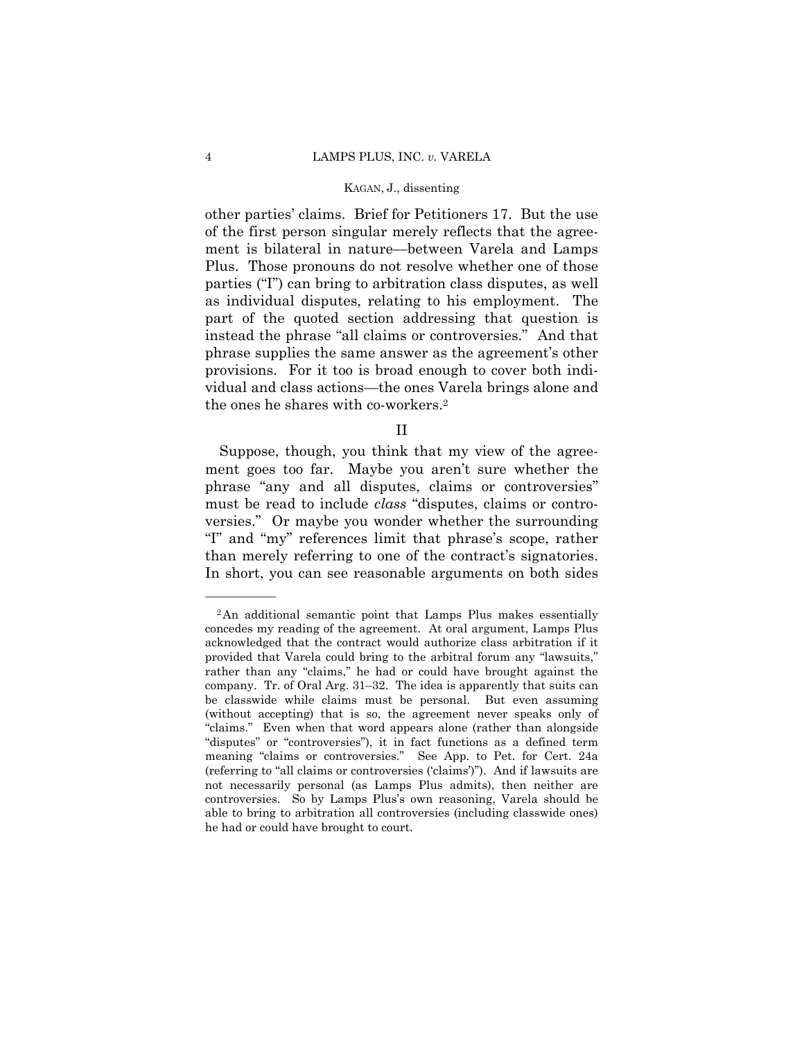other parties' claims. Brief for Petitioners 17. But the use of the first person singular merely reflects that the agreement is bilateral in nature—between Varela and Lamps Plus. Those pronouns do not resolve whether one of those parties ("I") can bring to arbitration class disputes, as well as individual disputes, relating to his employment. The part of the quoted section addressing that question is instead the phrase "all claims or controversies." And that phrase supplies the same answer as the agreement's other provisions. For it too is broad enough to cover both individual and class actions—the ones Varela brings alone and the ones he shares with co-workers.2

II

Suppose, though, you think that my view of the agreement goes too far. Maybe you aren't sure whether the phrase "any and all disputes, claims or controversies" must be read to include *class* "disputes, claims or controversies." Or maybe you wonder whether the surrounding "I" and "my" references limit that phrase's scope, rather than merely referring to one of the contract's signatories. In short, you can see reasonable arguments on both sides

<sup>2</sup>An additional semantic point that Lamps Plus makes essentially concedes my reading of the agreement. At oral argument, Lamps Plus acknowledged that the contract would authorize class arbitration if it provided that Varela could bring to the arbitral forum any "lawsuits," rather than any "claims," he had or could have brought against the company. Tr. of Oral Arg. 31–32. The idea is apparently that suits can be classwide while claims must be personal. But even assuming (without accepting) that is so, the agreement never speaks only of "claims." Even when that word appears alone (rather than alongside "disputes" or "controversies"), it in fact functions as a defined term meaning "claims or controversies." See App. to Pet. for Cert. 24a (referring to "all claims or controversies ('claims')"). And if lawsuits are not necessarily personal (as Lamps Plus admits), then neither are controversies. So by Lamps Plus's own reasoning, Varela should be able to bring to arbitration all controversies (including classwide ones) he had or could have brought to court.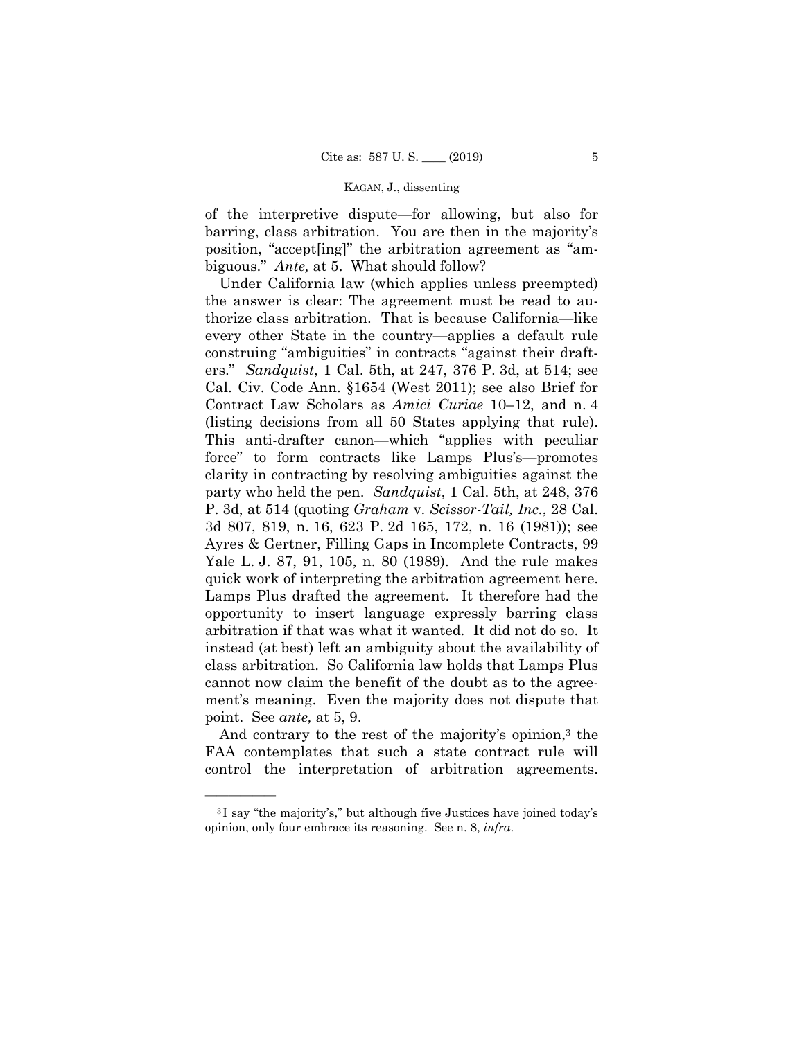of the interpretive dispute—for allowing, but also for barring, class arbitration. You are then in the majority's position, "accept[ing]" the arbitration agreement as "ambiguous." *Ante,* at 5. What should follow?

Under California law (which applies unless preempted) the answer is clear: The agreement must be read to authorize class arbitration. That is because California—like every other State in the country—applies a default rule construing "ambiguities" in contracts "against their drafters." *Sandquist*, 1 Cal. 5th, at 247, 376 P. 3d, at 514; see Cal. Civ. Code Ann. §1654 (West 2011); see also Brief for Contract Law Scholars as *Amici Curiae* 10–12, and n. 4 (listing decisions from all 50 States applying that rule). This anti-drafter canon—which "applies with peculiar force" to form contracts like Lamps Plus's—promotes clarity in contracting by resolving ambiguities against the party who held the pen. *Sandquist*, 1 Cal. 5th, at 248, 376 P. 3d, at 514 (quoting *Graham* v. *Scissor-Tail, Inc.*, 28 Cal. 3d 807, 819, n. 16, 623 P. 2d 165, 172, n. 16 (1981)); see Ayres & Gertner, Filling Gaps in Incomplete Contracts, 99 Yale L. J. 87, 91, 105, n. 80 (1989). And the rule makes quick work of interpreting the arbitration agreement here. Lamps Plus drafted the agreement. It therefore had the opportunity to insert language expressly barring class arbitration if that was what it wanted. It did not do so. It instead (at best) left an ambiguity about the availability of class arbitration. So California law holds that Lamps Plus cannot now claim the benefit of the doubt as to the agreement's meaning. Even the majority does not dispute that point. See *ante,* at 5, 9.

And contrary to the rest of the majority's opinion,<sup>3</sup> the FAA contemplates that such a state contract rule will control the interpretation of arbitration agreements.

<sup>3</sup> I say "the majority's," but although five Justices have joined today's opinion, only four embrace its reasoning. See n. 8, *infra*.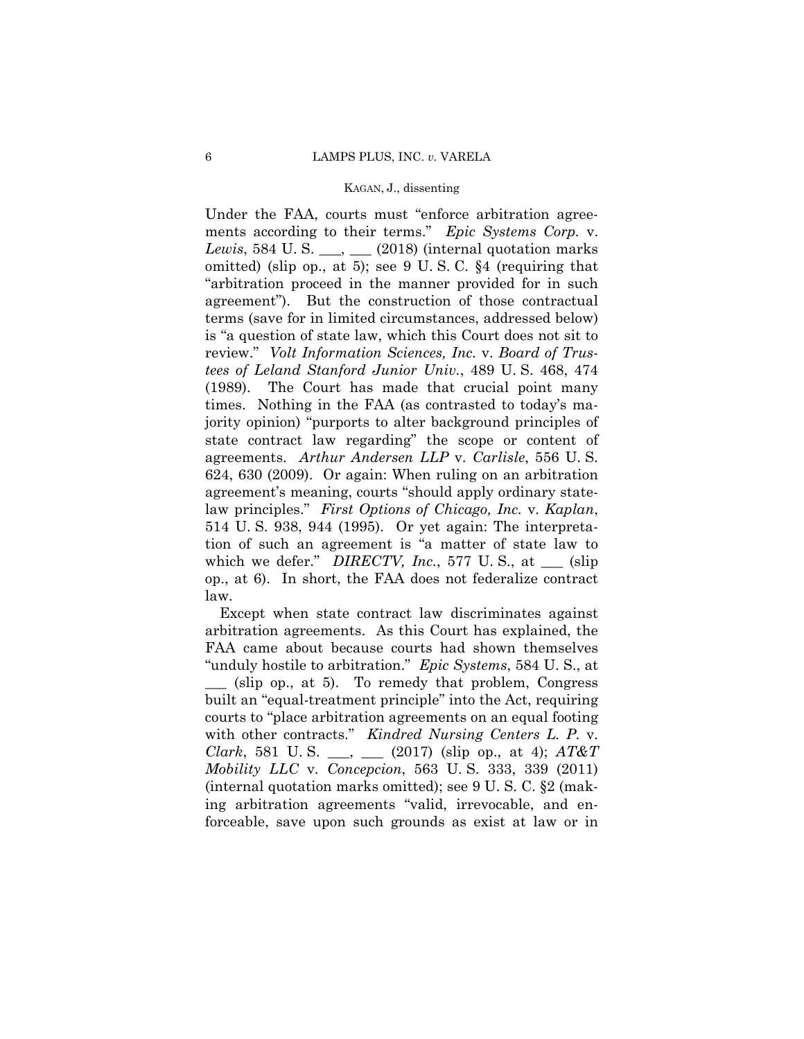Under the FAA, courts must "enforce arbitration agreements according to their terms." *Epic Systems Corp.* v. *Lewis*, 584 U.S. \_\_\_, \_\_ (2018) (internal quotation marks omitted) (slip op., at 5); see 9 U. S. C. §4 (requiring that "arbitration proceed in the manner provided for in such agreement"). But the construction of those contractual terms (save for in limited circumstances, addressed below) is "a question of state law, which this Court does not sit to review." *Volt Information Sciences, Inc.* v. *Board of Trustees of Leland Stanford Junior Univ.*, 489 U. S. 468, 474 (1989). The Court has made that crucial point many times. Nothing in the FAA (as contrasted to today's majority opinion) "purports to alter background principles of state contract law regarding" the scope or content of agreements. *Arthur Andersen LLP* v. *Carlisle*, 556 U. S. 624, 630 (2009). Or again: When ruling on an arbitration agreement's meaning, courts "should apply ordinary statelaw principles." *First Options of Chicago, Inc.* v. *Kaplan*, 514 U. S. 938, 944 (1995). Or yet again: The interpretation of such an agreement is "a matter of state law to which we defer." *DIRECTV, Inc.*, 577 U.S., at \_\_\_ (slip op., at 6). In short, the FAA does not federalize contract law.

 with other contracts." *Kindred Nursing Centers L. P.* v. Except when state contract law discriminates against arbitration agreements. As this Court has explained, the FAA came about because courts had shown themselves "unduly hostile to arbitration." *Epic Systems*, 584 U. S., at \_\_\_ (slip op., at 5). To remedy that problem, Congress built an "equal-treatment principle" into the Act, requiring courts to "place arbitration agreements on an equal footing *Clark*, 581 U. S. \_\_\_, \_\_\_ (2017) (slip op., at 4); *AT&T Mobility LLC* v. *Concepcion*, 563 U. S. 333, 339 (2011) (internal quotation marks omitted); see 9 U. S. C. §2 (making arbitration agreements "valid, irrevocable, and enforceable, save upon such grounds as exist at law or in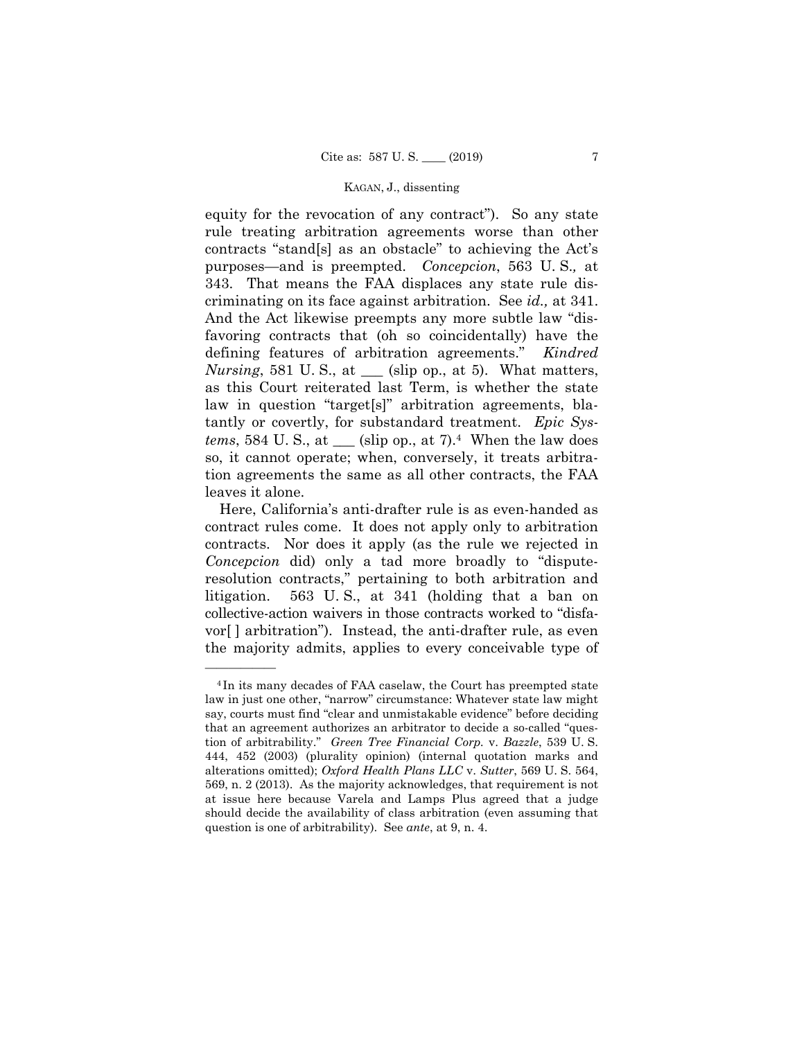criminating on its face against arbitration. See *id.,* at 341. And the Act likewise preempts any more subtle law "disequity for the revocation of any contract"). So any state rule treating arbitration agreements worse than other contracts "stand[s] as an obstacle" to achieving the Act's purposes—and is preempted. *Concepcion*, 563 U. S.*,* at 343. That means the FAA displaces any state rule disfavoring contracts that (oh so coincidentally) have the defining features of arbitration agreements." *Kindred Nursing*, 581 U.S., at  $\equiv$  (slip op., at 5). What matters, as this Court reiterated last Term, is whether the state law in question "target[s]" arbitration agreements, blatantly or covertly, for substandard treatment. *Epic Systems*, 584 U.S., at  $\_\_$  (slip op., at 7).<sup>4</sup> When the law does so, it cannot operate; when, conversely, it treats arbitration agreements the same as all other contracts, the FAA leaves it alone.

563 U.S., at 341 (holding that a ban on Here, California's anti-drafter rule is as even-handed as contract rules come. It does not apply only to arbitration contracts. Nor does it apply (as the rule we rejected in *Concepcion* did) only a tad more broadly to "disputeresolution contracts," pertaining to both arbitration and litigation. 563 U. S., at 341 (holding that a ban on collective-action waivers in those contracts worked to "disfavor[ ] arbitration"). Instead, the anti-drafter rule, as even the majority admits, applies to every conceivable type of

<sup>4</sup> In its many decades of FAA caselaw, the Court has preempted state law in just one other, "narrow" circumstance: Whatever state law might say, courts must find "clear and unmistakable evidence" before deciding that an agreement authorizes an arbitrator to decide a so-called "question of arbitrability." *Green Tree Financial Corp.* v. *Bazzle*, 539 U. S. 444, 452 (2003) (plurality opinion) (internal quotation marks and alterations omitted); *Oxford Health Plans LLC* v. *Sutter*, 569 U. S. 564, 569, n. 2 (2013). As the majority acknowledges, that requirement is not at issue here because Varela and Lamps Plus agreed that a judge should decide the availability of class arbitration (even assuming that question is one of arbitrability). See *ante*, at 9, n. 4.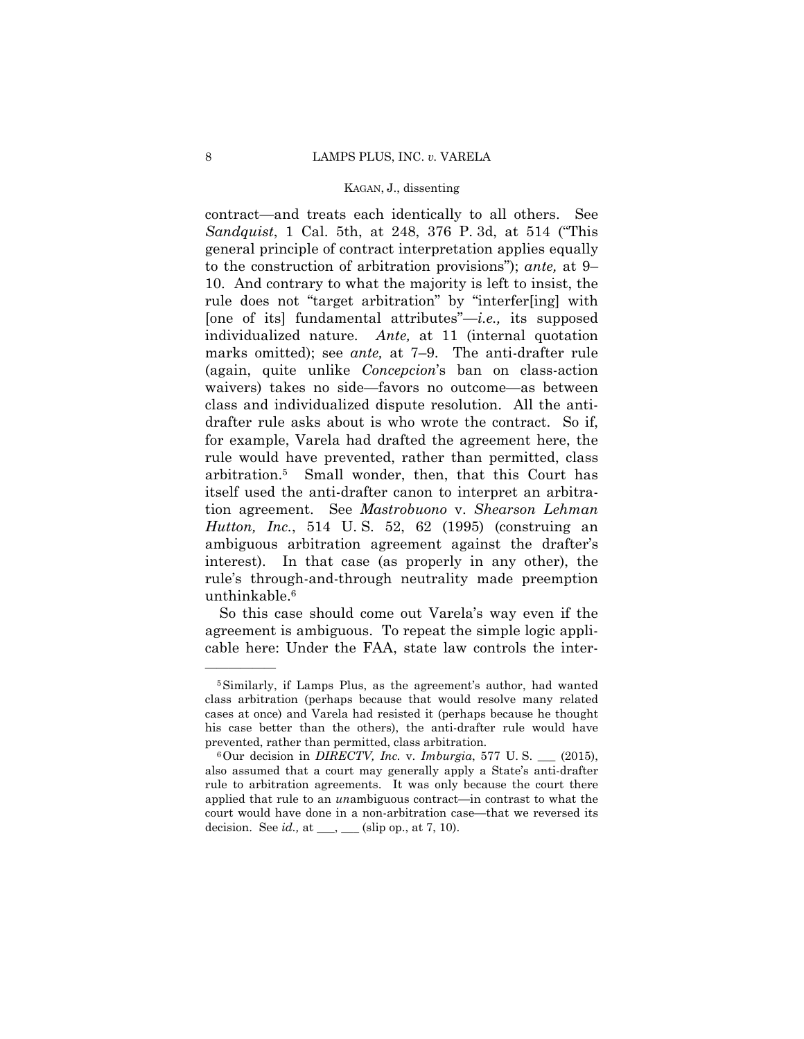contract—and treats each identically to all others. See *Sandquist*, 1 Cal. 5th, at 248, 376 P. 3d, at 514 ("This general principle of contract interpretation applies equally to the construction of arbitration provisions"); *ante,* at 9– 10. And contrary to what the majority is left to insist, the rule does not "target arbitration" by "interfer[ing] with [one of its] fundamental attributes"—*i.e.,* its supposed individualized nature. *Ante,* at 11 (internal quotation marks omitted); see *ante,* at 7–9. The anti-drafter rule (again, quite unlike *Concepcion*'s ban on class-action waivers) takes no side—favors no outcome—as between class and individualized dispute resolution. All the antidrafter rule asks about is who wrote the contract. So if, for example, Varela had drafted the agreement here, the rule would have prevented, rather than permitted, class arbitration.5 Small wonder, then, that this Court has itself used the anti-drafter canon to interpret an arbitration agreement. See *Mastrobuono* v. *Shearson Lehman Hutton, Inc.*, 514 U. S. 52, 62 (1995) (construing an ambiguous arbitration agreement against the drafter's interest). In that case (as properly in any other), the rule's through-and-through neutrality made preemption unthinkable.6

So this case should come out Varela's way even if the agreement is ambiguous. To repeat the simple logic applicable here: Under the FAA, state law controls the inter-

<sup>5</sup>Similarly, if Lamps Plus, as the agreement's author, had wanted class arbitration (perhaps because that would resolve many related cases at once) and Varela had resisted it (perhaps because he thought his case better than the others), the anti-drafter rule would have prevented, rather than permitted, class arbitration.<br><sup>6</sup>Our decision in *DIRECTV, Inc.* v. *Imburgia*, 577 U. S. \_\_\_ (2015),

also assumed that a court may generally apply a State's anti-drafter rule to arbitration agreements. It was only because the court there applied that rule to an *un*ambiguous contract—in contrast to what the court would have done in a non-arbitration case—that we reversed its decision. See  $id.$ , at  $\_\_\_\_\_\_\_\_\$  (slip op., at 7, 10).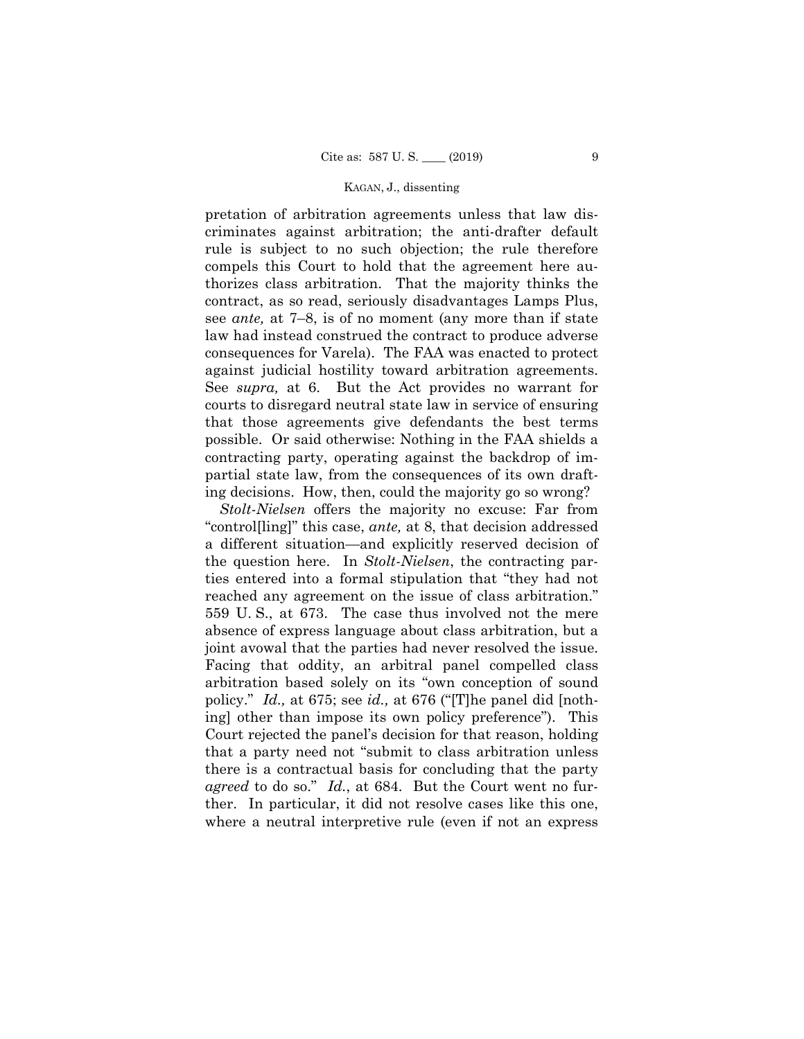pretation of arbitration agreements unless that law discriminates against arbitration; the anti-drafter default rule is subject to no such objection; the rule therefore compels this Court to hold that the agreement here authorizes class arbitration. That the majority thinks the contract, as so read, seriously disadvantages Lamps Plus, see *ante,* at 7–8, is of no moment (any more than if state law had instead construed the contract to produce adverse consequences for Varela). The FAA was enacted to protect against judicial hostility toward arbitration agreements. See *supra,* at 6. But the Act provides no warrant for courts to disregard neutral state law in service of ensuring that those agreements give defendants the best terms possible. Or said otherwise: Nothing in the FAA shields a contracting party, operating against the backdrop of impartial state law, from the consequences of its own drafting decisions. How, then, could the majority go so wrong?

 *agreed* to do so." *Id.*, at 684. But the Court went no fur-*Stolt-Nielsen* offers the majority no excuse: Far from "control[ling]" this case, *ante,* at 8, that decision addressed a different situation—and explicitly reserved decision of the question here. In *Stolt-Nielsen*, the contracting parties entered into a formal stipulation that "they had not reached any agreement on the issue of class arbitration." 559 U. S., at 673. The case thus involved not the mere absence of express language about class arbitration, but a joint avowal that the parties had never resolved the issue. Facing that oddity, an arbitral panel compelled class arbitration based solely on its "own conception of sound policy." *Id.,* at 675; see *id.,* at 676 ("[T]he panel did [nothing] other than impose its own policy preference"). This Court rejected the panel's decision for that reason, holding that a party need not "submit to class arbitration unless there is a contractual basis for concluding that the party ther. In particular, it did not resolve cases like this one, where a neutral interpretive rule (even if not an express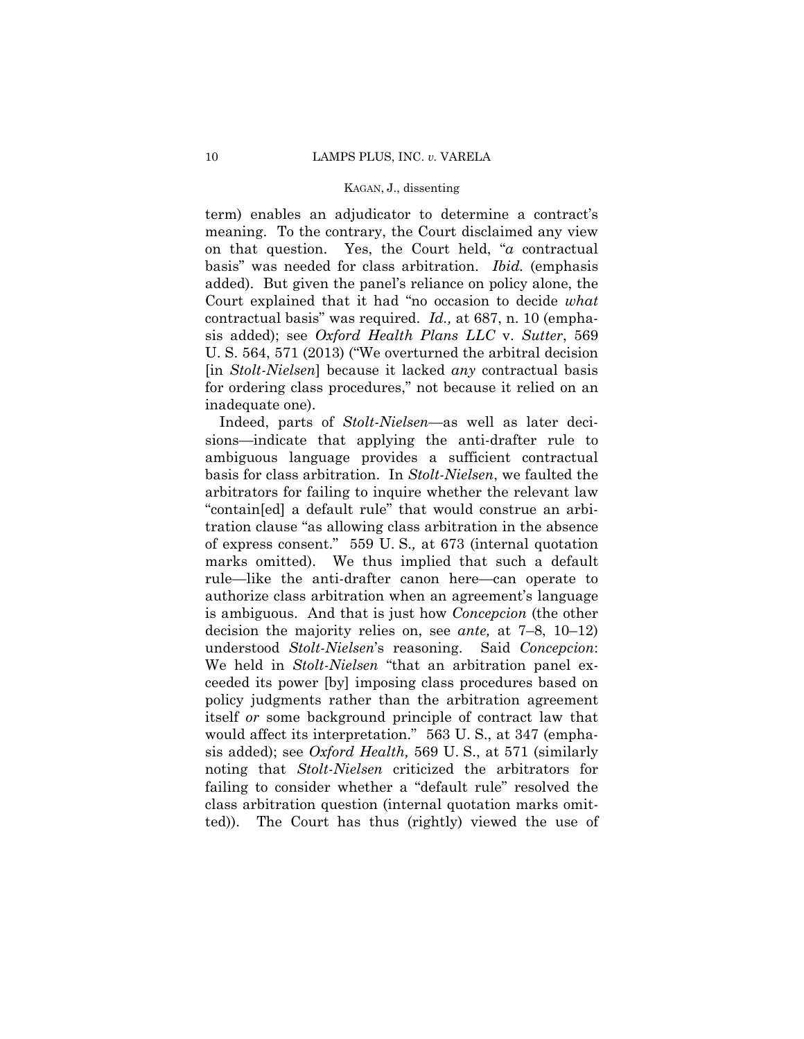term) enables an adjudicator to determine a contract's meaning. To the contrary, the Court disclaimed any view on that question. Yes, the Court held, "*a* contractual basis" was needed for class arbitration. *Ibid.* (emphasis added). But given the panel's reliance on policy alone, the Court explained that it had "no occasion to decide *what*  contractual basis" was required. *Id.,* at 687, n. 10 (emphasis added); see *Oxford Health Plans LLC* v. *Sutter*, 569 U. S. 564, 571 (2013) ("We overturned the arbitral decision [in *Stolt-Nielsen*] because it lacked *any* contractual basis for ordering class procedures," not because it relied on an inadequate one).

Indeed, parts of *Stolt-Nielsen*—as well as later decisions—indicate that applying the anti-drafter rule to ambiguous language provides a sufficient contractual basis for class arbitration. In *Stolt-Nielsen*, we faulted the arbitrators for failing to inquire whether the relevant law "contain[ed] a default rule" that would construe an arbitration clause "as allowing class arbitration in the absence of express consent." 559 U. S.*,* at 673 (internal quotation marks omitted). We thus implied that such a default rule—like the anti-drafter canon here—can operate to authorize class arbitration when an agreement's language is ambiguous. And that is just how *Concepcion* (the other decision the majority relies on, see *ante,* at 7–8, 10–12) understood *Stolt-Nielsen*'s reasoning. Said *Concepcion*: We held in *Stolt-Nielsen* "that an arbitration panel exceeded its power [by] imposing class procedures based on policy judgments rather than the arbitration agreement itself *or* some background principle of contract law that would affect its interpretation." 563 U. S., at 347 (emphasis added); see *Oxford Health,* 569 U. S., at 571 (similarly noting that *Stolt-Nielsen* criticized the arbitrators for failing to consider whether a "default rule" resolved the class arbitration question (internal quotation marks omitted)). The Court has thus (rightly) viewed the use of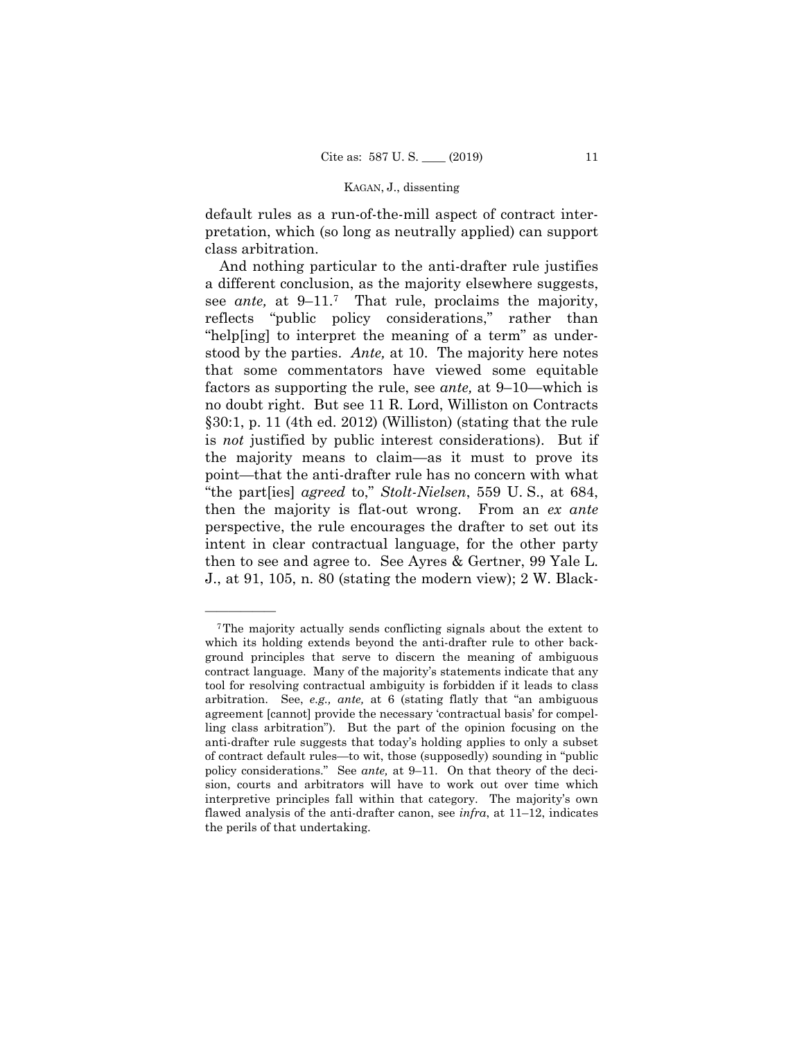default rules as a run-of-the-mill aspect of contract interpretation, which (so long as neutrally applied) can support class arbitration.

And nothing particular to the anti-drafter rule justifies a different conclusion, as the majority elsewhere suggests, see *ante,* at 9–11.7 That rule, proclaims the majority, reflects "public policy considerations," rather than "help[ing] to interpret the meaning of a term" as understood by the parties. *Ante,* at 10. The majority here notes that some commentators have viewed some equitable factors as supporting the rule, see *ante,* at 9–10—which is no doubt right. But see 11 R. Lord, Williston on Contracts §30:1, p. 11 (4th ed. 2012) (Williston) (stating that the rule is *not* justified by public interest considerations). But if the majority means to claim—as it must to prove its point—that the anti-drafter rule has no concern with what "the part[ies] *agreed* to," *Stolt-Nielsen*, 559 U. S., at 684, then the majority is flat-out wrong. From an *ex ante*  perspective, the rule encourages the drafter to set out its intent in clear contractual language, for the other party then to see and agree to. See Ayres & Gertner, 99 Yale L. J., at 91, 105, n. 80 (stating the modern view); 2 W. Black-

<sup>7</sup>The majority actually sends conflicting signals about the extent to which its holding extends beyond the anti-drafter rule to other background principles that serve to discern the meaning of ambiguous contract language. Many of the majority's statements indicate that any tool for resolving contractual ambiguity is forbidden if it leads to class arbitration. See, *e.g., ante,* at 6 (stating flatly that "an ambiguous agreement [cannot] provide the necessary 'contractual basis' for compelling class arbitration"). But the part of the opinion focusing on the anti-drafter rule suggests that today's holding applies to only a subset of contract default rules—to wit, those (supposedly) sounding in "public policy considerations." See *ante,* at 9–11. On that theory of the decision, courts and arbitrators will have to work out over time which interpretive principles fall within that category. The majority's own flawed analysis of the anti-drafter canon, see *infra*, at 11–12, indicates the perils of that undertaking.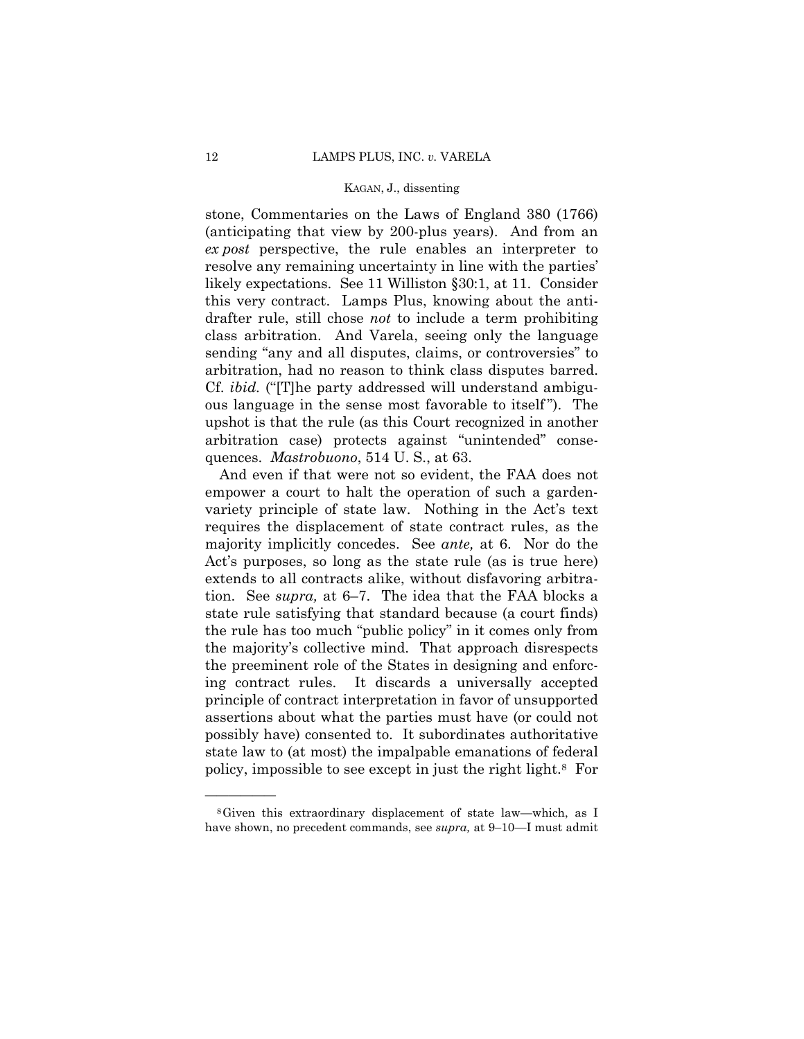stone, Commentaries on the Laws of England 380 (1766) (anticipating that view by 200-plus years). And from an *ex post* perspective, the rule enables an interpreter to resolve any remaining uncertainty in line with the parties' likely expectations. See 11 Williston §30:1, at 11. Consider this very contract. Lamps Plus, knowing about the antidrafter rule, still chose *not* to include a term prohibiting class arbitration. And Varela, seeing only the language sending "any and all disputes, claims, or controversies" to arbitration, had no reason to think class disputes barred. Cf. *ibid.* ("[T]he party addressed will understand ambiguous language in the sense most favorable to itself "). The upshot is that the rule (as this Court recognized in another arbitration case) protects against "unintended" consequences. *Mastrobuono*, 514 U. S., at 63.

 majority implicitly concedes. See *ante,* at 6. Nor do the And even if that were not so evident, the FAA does not empower a court to halt the operation of such a gardenvariety principle of state law. Nothing in the Act's text requires the displacement of state contract rules, as the Act's purposes, so long as the state rule (as is true here) extends to all contracts alike, without disfavoring arbitration. See *supra,* at 6–7. The idea that the FAA blocks a state rule satisfying that standard because (a court finds) the rule has too much "public policy" in it comes only from the majority's collective mind. That approach disrespects the preeminent role of the States in designing and enforcing contract rules. It discards a universally accepted principle of contract interpretation in favor of unsupported assertions about what the parties must have (or could not possibly have) consented to. It subordinates authoritative state law to (at most) the impalpable emanations of federal policy, impossible to see except in just the right light.8 For

<sup>8</sup>Given this extraordinary displacement of state law—which, as I have shown, no precedent commands, see *supra,* at 9–10—I must admit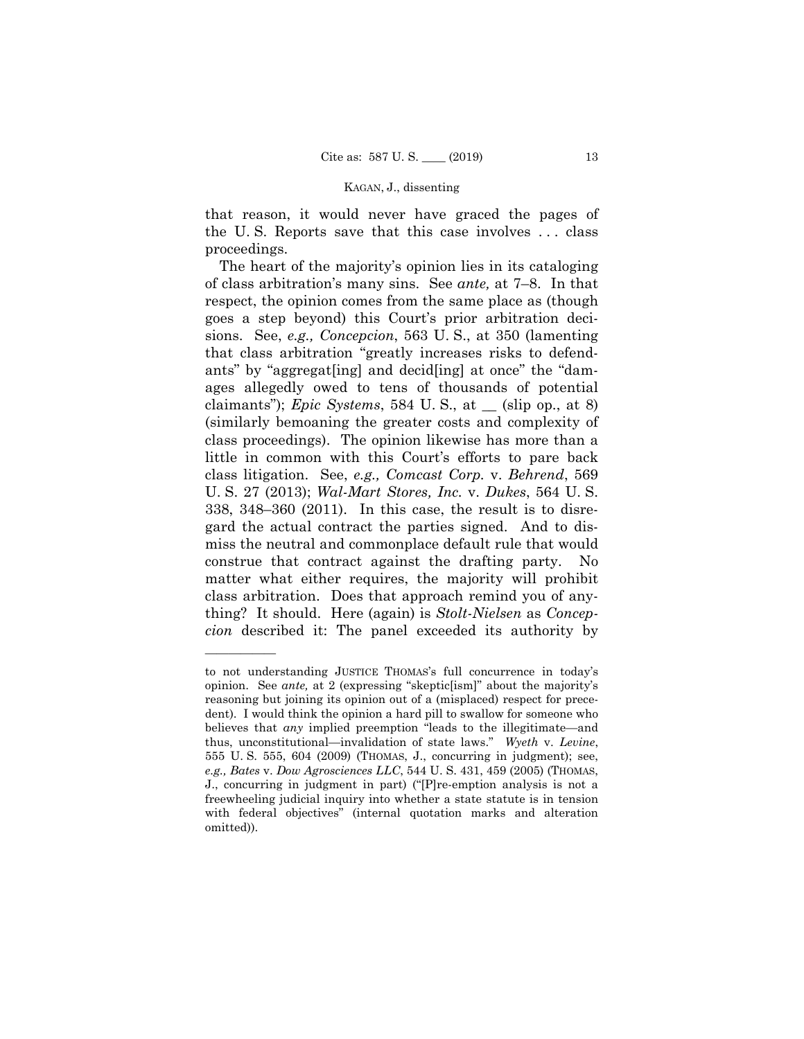that reason, it would never have graced the pages of the U. S. Reports save that this case involves . . . class proceedings.

The heart of the majority's opinion lies in its cataloging of class arbitration's many sins. See *ante,* at 7–8. In that respect, the opinion comes from the same place as (though goes a step beyond) this Court's prior arbitration decisions. See, *e.g., Concepcion*, 563 U. S., at 350 (lamenting that class arbitration "greatly increases risks to defendants" by "aggregat[ing] and decid[ing] at once" the "damages allegedly owed to tens of thousands of potential claimants"); *Epic Systems*, 584 U. S., at \_\_ (slip op., at 8) (similarly bemoaning the greater costs and complexity of class proceedings). The opinion likewise has more than a little in common with this Court's efforts to pare back class litigation. See, *e.g., Comcast Corp.* v. *Behrend*, 569 U. S. 27 (2013); *Wal-Mart Stores, Inc.* v. *Dukes*, 564 U. S. 338, 348–360 (2011). In this case, the result is to disregard the actual contract the parties signed. And to dismiss the neutral and commonplace default rule that would construe that contract against the drafting party. No matter what either requires, the majority will prohibit class arbitration. Does that approach remind you of anything? It should. Here (again) is *Stolt-Nielsen* as *Concepcion* described it: The panel exceeded its authority by

 freewheeling judicial inquiry into whether a state statute is in tension to not understanding JUSTICE THOMAS's full concurrence in today's opinion. See *ante,* at 2 (expressing "skeptic[ism]" about the majority's reasoning but joining its opinion out of a (misplaced) respect for precedent). I would think the opinion a hard pill to swallow for someone who believes that *any* implied preemption "leads to the illegitimate—and thus, unconstitutional—invalidation of state laws." *Wyeth* v. *Levine*, 555 U. S. 555, 604 (2009) (THOMAS, J., concurring in judgment); see, *e.g., Bates* v. *Dow Agrosciences LLC*, 544 U. S. 431, 459 (2005) (THOMAS, J., concurring in judgment in part) ("[P]re-emption analysis is not a with federal objectives" (internal quotation marks and alteration omitted)).